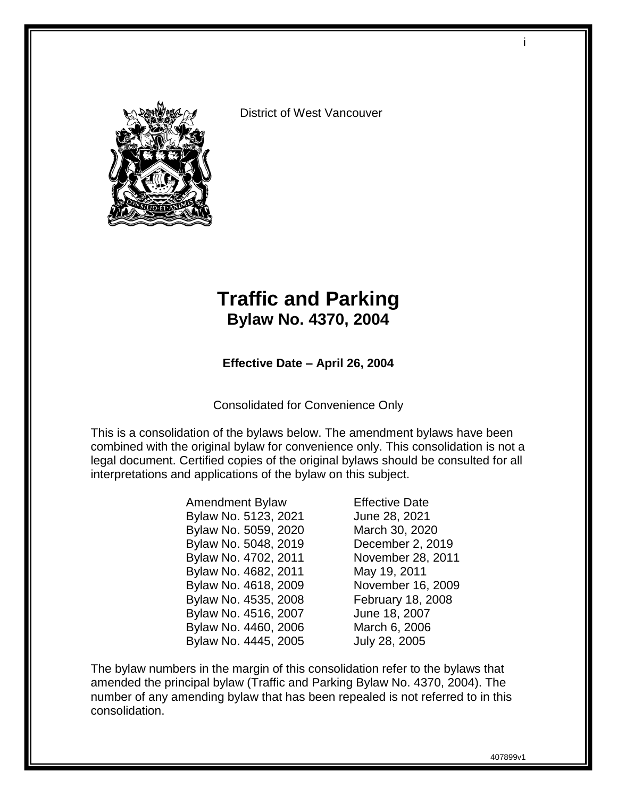

District of West Vancouver

# **Traffic and Parking Bylaw No. 4370, 2004**

**Effective Date – April 26, 2004**

Consolidated for Convenience Only

This is a consolidation of the bylaws below. The amendment bylaws have been combined with the original bylaw for convenience only. This consolidation is not a legal document. Certified copies of the original bylaws should be consulted for all interpretations and applications of the bylaw on this subject.

> Amendment Bylaw Effective Date Bylaw No. 5123, 2021 June 28, 2021 Bylaw No. 5059, 2020 March 30, 2020 Bylaw No. 5048, 2019 December 2, 2019 Bylaw No. 4702, 2011 November 28, 2011 Bylaw No. 4682, 2011 May 19, 2011 Bylaw No. 4618, 2009 November 16, 2009 Bylaw No. 4535, 2008 February 18, 2008 Bylaw No. 4516, 2007 June 18, 2007 Bylaw No. 4460, 2006 March 6, 2006 Bylaw No. 4445, 2005 July 28, 2005

The bylaw numbers in the margin of this consolidation refer to the bylaws that amended the principal bylaw (Traffic and Parking Bylaw No. 4370, 2004). The number of any amending bylaw that has been repealed is not referred to in this consolidation.

i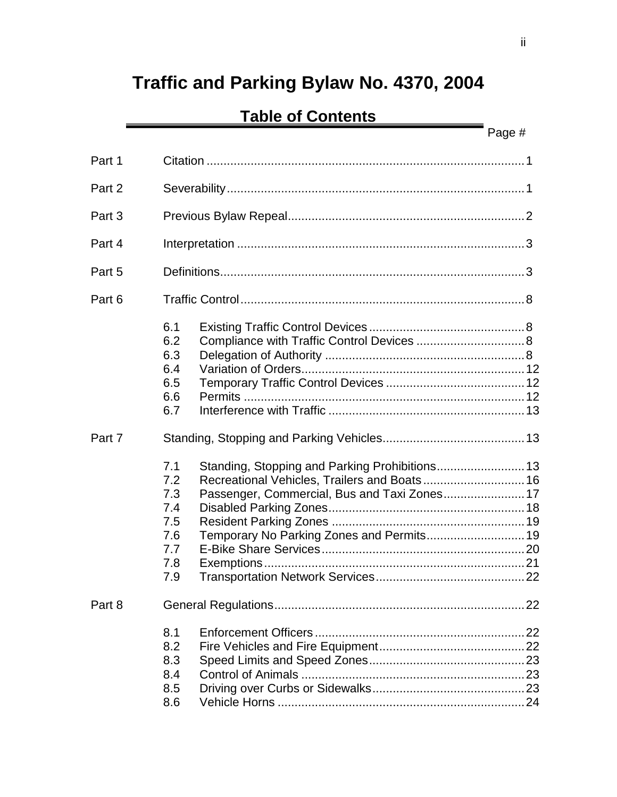# **Traffic and Parking Bylaw No. 4370, 2004**

# **Table of Contents**

|        |                                                                                                          | Page # |  |
|--------|----------------------------------------------------------------------------------------------------------|--------|--|
| Part 1 |                                                                                                          |        |  |
| Part 2 |                                                                                                          |        |  |
| Part 3 |                                                                                                          |        |  |
| Part 4 |                                                                                                          |        |  |
| Part 5 |                                                                                                          |        |  |
| Part 6 |                                                                                                          |        |  |
|        | 6.1<br>6.2<br>Compliance with Traffic Control Devices  8<br>6.3<br>6.4<br>6.5<br>6.6<br>6.7              |        |  |
| Part 7 |                                                                                                          |        |  |
|        | 7.1<br>7.2<br>7.3<br>7.4<br>7.5<br>Temporary No Parking Zones and Permits 19<br>7.6<br>7.7<br>7.8<br>7.9 |        |  |
| Part 8 |                                                                                                          |        |  |
|        | 8.1<br>8.2<br>8.3<br>8.4<br>8.5<br>8.6                                                                   |        |  |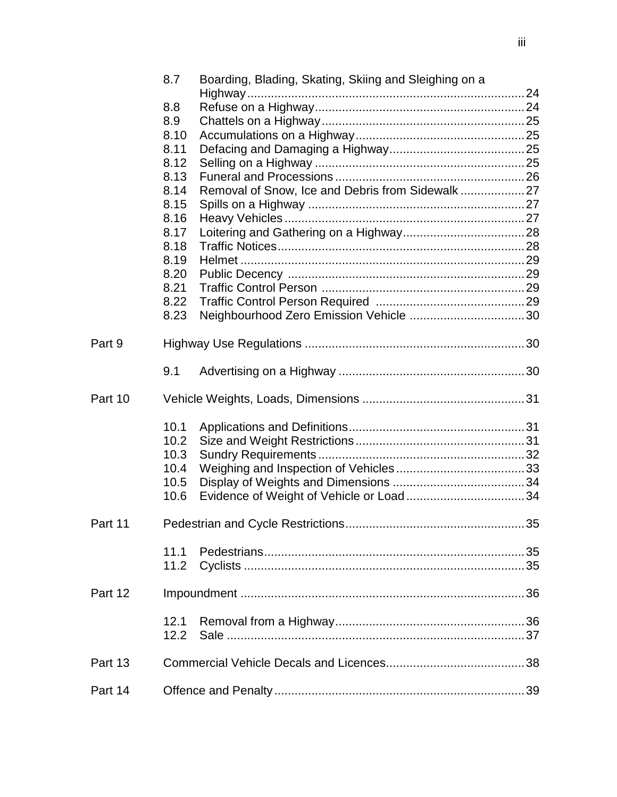|         | 8.7          | Boarding, Blading, Skating, Skiing and Sleighing on a |  |
|---------|--------------|-------------------------------------------------------|--|
|         |              |                                                       |  |
|         | 8.8          |                                                       |  |
|         | 8.9          |                                                       |  |
|         | 8.10         |                                                       |  |
|         | 8.11         |                                                       |  |
|         | 8.12         |                                                       |  |
|         | 8.13         |                                                       |  |
|         | 8.14         | Removal of Snow, Ice and Debris from Sidewalk27       |  |
|         | 8.15         |                                                       |  |
|         | 8.16         |                                                       |  |
|         | 8.17<br>8.18 |                                                       |  |
|         | 8.19         |                                                       |  |
|         | 8.20         |                                                       |  |
|         | 8.21         |                                                       |  |
|         | 8.22         |                                                       |  |
|         | 8.23         |                                                       |  |
|         |              |                                                       |  |
| Part 9  |              |                                                       |  |
|         | 9.1          |                                                       |  |
| Part 10 |              |                                                       |  |
|         |              |                                                       |  |
|         | 10.1         |                                                       |  |
|         | 10.2         |                                                       |  |
|         | 10.3         |                                                       |  |
|         | 10.4         |                                                       |  |
|         | 10.5         |                                                       |  |
|         | 10.6         |                                                       |  |
| Part 11 |              |                                                       |  |
|         | 11.1         |                                                       |  |
|         | 11.2         |                                                       |  |
| Part 12 |              |                                                       |  |
|         |              |                                                       |  |
|         | 12.1         |                                                       |  |
|         | 12.2         |                                                       |  |
| Part 13 |              |                                                       |  |
| Part 14 |              |                                                       |  |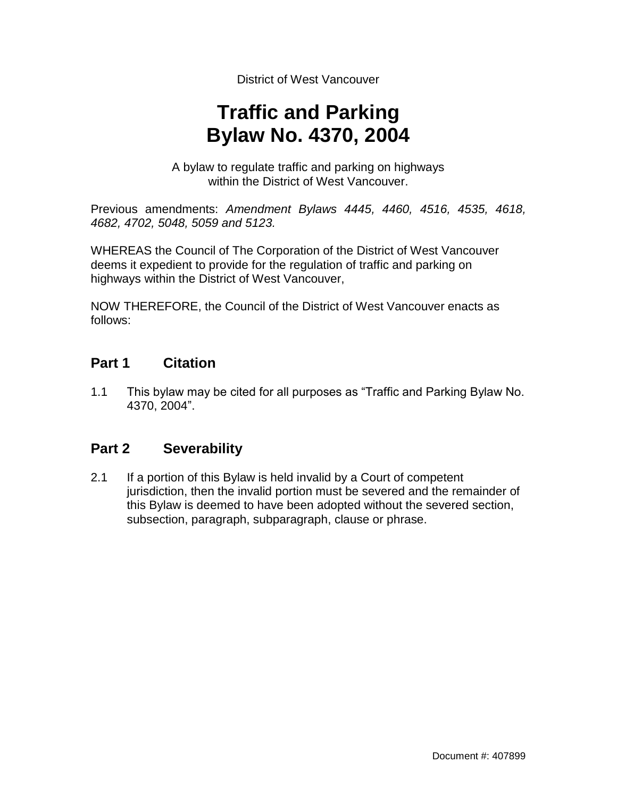District of West Vancouver

# **Traffic and Parking Bylaw No. 4370, 2004**

A bylaw to regulate traffic and parking on highways within the District of West Vancouver.

Previous amendments: *Amendment Bylaws 4445, 4460, 4516, 4535, 4618, 4682, 4702, 5048, 5059 and 5123.*

WHEREAS the Council of The Corporation of the District of West Vancouver deems it expedient to provide for the regulation of traffic and parking on highways within the District of West Vancouver,

NOW THEREFORE, the Council of the District of West Vancouver enacts as follows:

## **Part 1 Citation**

1.1 This bylaw may be cited for all purposes as "Traffic and Parking Bylaw No. 4370, 2004".

# **Part 2 Severability**

2.1 If a portion of this Bylaw is held invalid by a Court of competent jurisdiction, then the invalid portion must be severed and the remainder of this Bylaw is deemed to have been adopted without the severed section, subsection, paragraph, subparagraph, clause or phrase.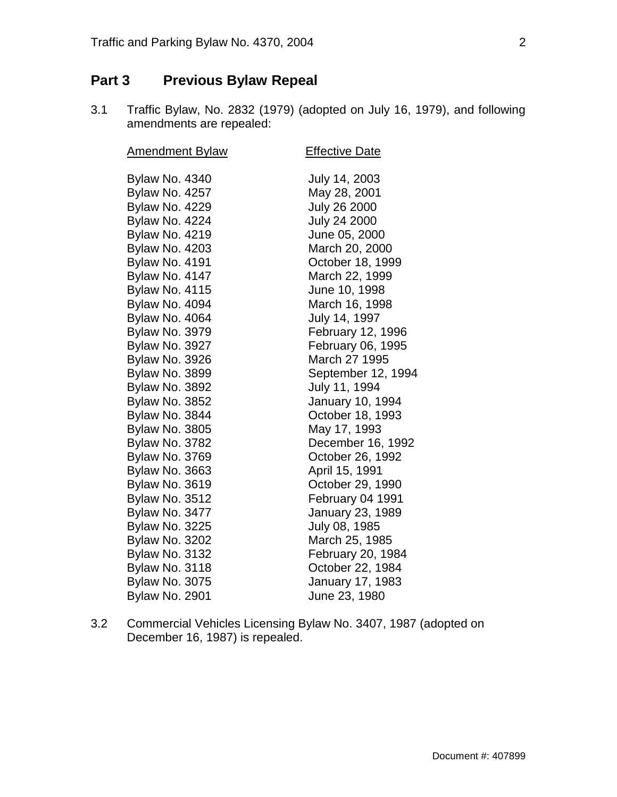# **Part 3 Previous Bylaw Repeal**

3.1 Traffic Bylaw, No. 2832 (1979) (adopted on July 16, 1979), and following amendments are repealed:

| <b>Effective Date</b> |
|-----------------------|
| July 14, 2003         |
| May 28, 2001          |
| <b>July 26 2000</b>   |
| <b>July 24 2000</b>   |
| June 05, 2000         |
| March 20, 2000        |
| October 18, 1999      |
| March 22, 1999        |
| June 10, 1998         |
| March 16, 1998        |
| July 14, 1997         |
| February 12, 1996     |
| February 06, 1995     |
| March 27 1995         |
| September 12, 1994    |
| July 11, 1994         |
| January 10, 1994      |
| October 18, 1993      |
| May 17, 1993          |
| December 16, 1992     |
| October 26, 1992      |
| April 15, 1991        |
| October 29, 1990      |
| February 04 1991      |
| January 23, 1989      |
| July 08, 1985         |
| March 25, 1985        |
| February 20, 1984     |
| October 22, 1984      |
| January 17, 1983      |
| June 23, 1980         |
|                       |

3.2 Commercial Vehicles Licensing Bylaw No. 3407, 1987 (adopted on December 16, 1987) is repealed.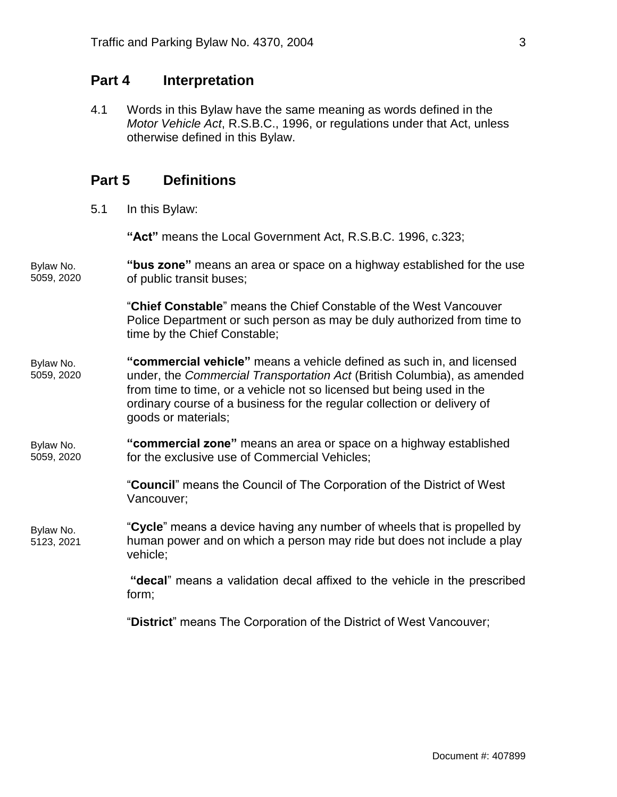### **Part 4 Interpretation**

4.1 Words in this Bylaw have the same meaning as words defined in the *Motor Vehicle Act*, R.S.B.C., 1996, or regulations under that Act, unless otherwise defined in this Bylaw.

### **Part 5 Definitions**

5.1 In this Bylaw:

**"Act"** means the Local Government Act, R.S.B.C. 1996, c.323;

**"bus zone"** means an area or space on a highway established for the use of public transit buses; Bylaw No. 5059, 2020

> "**Chief Constable**" means the Chief Constable of the West Vancouver Police Department or such person as may be duly authorized from time to time by the Chief Constable;

- **"commercial vehicle"** means a vehicle defined as such in, and licensed under, the *Commercial Transportation Act* (British Columbia), as amended from time to time, or a vehicle not so licensed but being used in the ordinary course of a business for the regular collection or delivery of goods or materials; Bylaw No. 5059, 2020
- **"commercial zone"** means an area or space on a highway established for the exclusive use of Commercial Vehicles; Bylaw No. 5059, 2020

"**Council**" means the Council of The Corporation of the District of West Vancouver;

"**Cycle**" means a device having any number of wheels that is propelled by human power and on which a person may ride but does not include a play vehicle; Bylaw No. 5123, 2021

> **"decal**" means a validation decal affixed to the vehicle in the prescribed form;

"**District**" means The Corporation of the District of West Vancouver;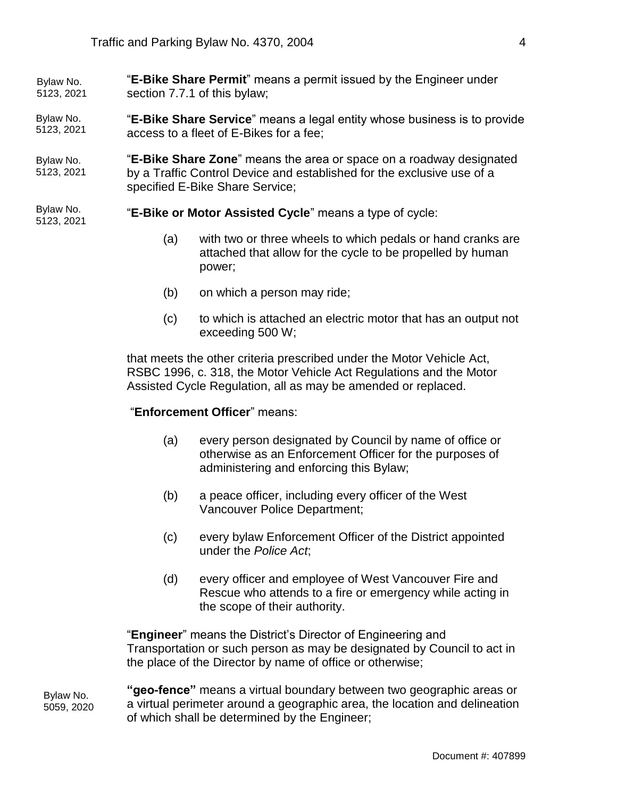"**E-Bike Share Permit**" means a permit issued by the Engineer under section 7.7.1 of this bylaw; Bylaw No. 5123, 2021

"**E-Bike Share Service**" means a legal entity whose business is to provide access to a fleet of E-Bikes for a fee; Bylaw No. 5123, 2021

"**E-Bike Share Zone**" means the area or space on a roadway designated by a Traffic Control Device and established for the exclusive use of a specified E-Bike Share Service; Bylaw No. 5123, 2021

"**E-Bike or Motor Assisted Cycle**" means a type of cycle: Bylaw No. 5123, 2021

- (a) with two or three wheels to which pedals or hand cranks are attached that allow for the cycle to be propelled by human power;
- (b) on which a person may ride;
- (c) to which is attached an electric motor that has an output not exceeding 500 W;

that meets the other criteria prescribed under the Motor Vehicle Act, RSBC 1996, c. 318, the Motor Vehicle Act Regulations and the Motor Assisted Cycle Regulation, all as may be amended or replaced.

#### "**Enforcement Officer**" means:

- (a) every person designated by Council by name of office or otherwise as an Enforcement Officer for the purposes of administering and enforcing this Bylaw;
- (b) a peace officer, including every officer of the West Vancouver Police Department;
- (c) every bylaw Enforcement Officer of the District appointed under the *Police Act*;
- (d) every officer and employee of West Vancouver Fire and Rescue who attends to a fire or emergency while acting in the scope of their authority.

"**Engineer**" means the District's Director of Engineering and Transportation or such person as may be designated by Council to act in the place of the Director by name of office or otherwise;

**"geo-fence"** means a virtual boundary between two geographic areas or a virtual perimeter around a geographic area, the location and delineation of which shall be determined by the Engineer; Bylaw No. 5059, 2020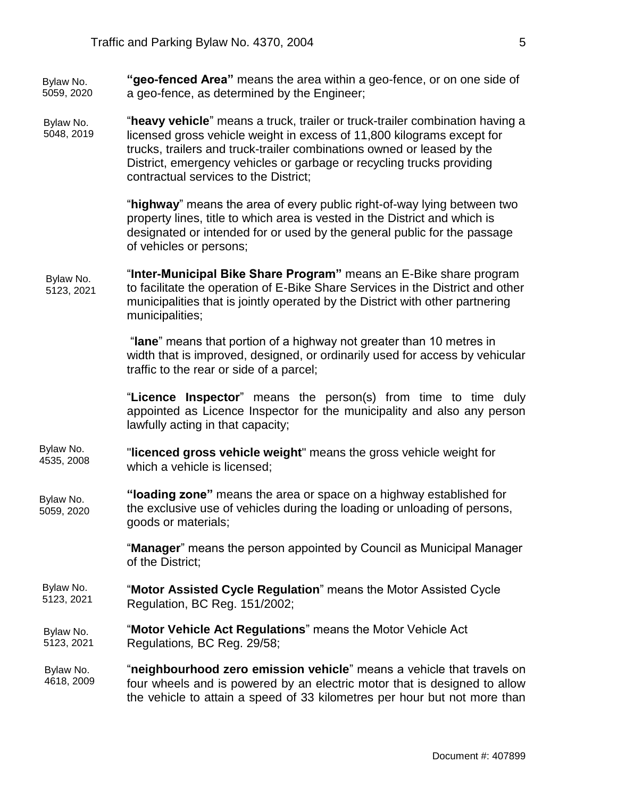**"geo-fenced Area"** means the area within a geo-fence, or on one side of a geo-fence, as determined by the Engineer; Bylaw No. 5059, 2020

"**heavy vehicle**" means a truck, trailer or truck-trailer combination having a licensed gross vehicle weight in excess of 11,800 kilograms except for trucks, trailers and truck-trailer combinations owned or leased by the District, emergency vehicles or garbage or recycling trucks providing contractual services to the District; Bylaw No. 5048, 2019

> "**highway**" means the area of every public right-of-way lying between two property lines, title to which area is vested in the District and which is designated or intended for or used by the general public for the passage of vehicles or persons;

"**Inter-Municipal Bike Share Program"** means an E-Bike share program to facilitate the operation of E-Bike Share Services in the District and other municipalities that is jointly operated by the District with other partnering municipalities; Bylaw No. 5123, 2021

> "**lane**" means that portion of a highway not greater than 10 metres in width that is improved, designed, or ordinarily used for access by vehicular traffic to the rear or side of a parcel;

> "**Licence Inspector**" means the person(s) from time to time duly appointed as Licence Inspector for the municipality and also any person lawfully acting in that capacity;

- "**licenced gross vehicle weight**" means the gross vehicle weight for which a vehicle is licensed; Bylaw No. 4535, 2008
- **"loading zone"** means the area or space on a highway established for the exclusive use of vehicles during the loading or unloading of persons, goods or materials; Bylaw No. 5059, 2020

"**Manager**" means the person appointed by Council as Municipal Manager of the District;

- "**Motor Assisted Cycle Regulation**" means the Motor Assisted Cycle Regulation, BC Reg. 151/2002; Bylaw No. 5123, 2021
- "**Motor Vehicle Act Regulations**" means the Motor Vehicle Act Regulations*,* BC Reg. 29/58; Bylaw No. 5123, 2021
- "**neighbourhood zero emission vehicle**" means a vehicle that travels on four wheels and is powered by an electric motor that is designed to allow the vehicle to attain a speed of 33 kilometres per hour but not more than Bylaw No. 4618, 2009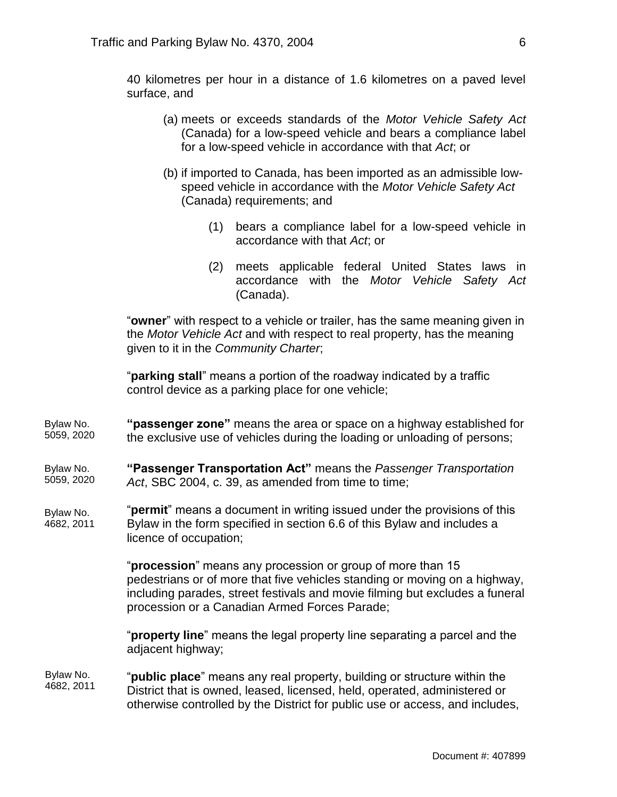40 kilometres per hour in a distance of 1.6 kilometres on a paved level surface, and

- (a) meets or exceeds standards of the *Motor Vehicle Safety Act* (Canada) for a low-speed vehicle and bears a compliance label for a low-speed vehicle in accordance with that *Act*; or
- (b) if imported to Canada, has been imported as an admissible lowspeed vehicle in accordance with the *Motor Vehicle Safety Act* (Canada) requirements; and
	- (1) bears a compliance label for a low-speed vehicle in accordance with that *Act*; or
	- (2) meets applicable federal United States laws in accordance with the *Motor Vehicle Safety Act* (Canada).

"**owner**" with respect to a vehicle or trailer, has the same meaning given in the *Motor Vehicle Act* and with respect to real property, has the meaning given to it in the *Community Charter*;

"**parking stall**" means a portion of the roadway indicated by a traffic control device as a parking place for one vehicle;

**"passenger zone"** means the area or space on a highway established for the exclusive use of vehicles during the loading or unloading of persons; Bylaw No. 5059, 2020

#### **"Passenger Transportation Act"** means the *Passenger Transportation Act*, SBC 2004, c. 39, as amended from time to time; Bylaw No. 5059, 2020

"**permit**" means a document in writing issued under the provisions of this Bylaw in the form specified in section 6.6 of this Bylaw and includes a licence of occupation; Bylaw No. 4682, 2011

> "**procession**" means any procession or group of more than 15 pedestrians or of more that five vehicles standing or moving on a highway, including parades, street festivals and movie filming but excludes a funeral procession or a Canadian Armed Forces Parade;

"**property line**" means the legal property line separating a parcel and the adjacent highway;

#### "**public place**" means any real property, building or structure within the District that is owned, leased, licensed, held, operated, administered or otherwise controlled by the District for public use or access, and includes, Bylaw No. 4682, 2011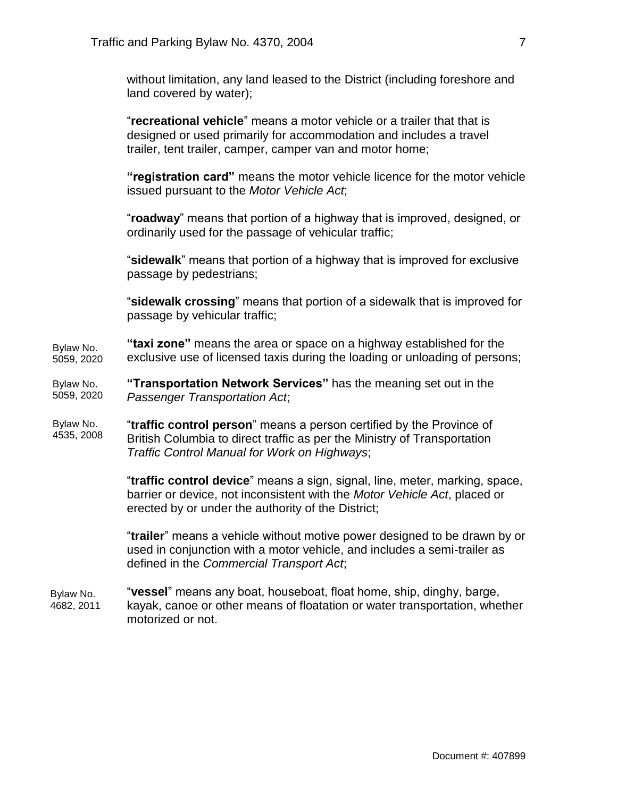without limitation, any land leased to the District (including foreshore and land covered by water);

"**recreational vehicle**" means a motor vehicle or a trailer that that is designed or used primarily for accommodation and includes a travel trailer, tent trailer, camper, camper van and motor home;

**"registration card"** means the motor vehicle licence for the motor vehicle issued pursuant to the *Motor Vehicle Act*;

"**roadway**" means that portion of a highway that is improved, designed, or ordinarily used for the passage of vehicular traffic;

"**sidewalk**" means that portion of a highway that is improved for exclusive passage by pedestrians;

"**sidewalk crossing**" means that portion of a sidewalk that is improved for passage by vehicular traffic;

**"taxi zone"** means the area or space on a highway established for the exclusive use of licensed taxis during the loading or unloading of persons; Bylaw No. 5059, 2020

**"Transportation Network Services"** has the meaning set out in the *Passenger Transportation Act*; Bylaw No. 5059, 2020

"**traffic control person**" means a person certified by the Province of British Columbia to direct traffic as per the Ministry of Transportation *Traffic Control Manual for Work on Highways*; Bylaw No. 4535, 2008

> "**traffic control device**" means a sign, signal, line, meter, marking, space, barrier or device, not inconsistent with the *Motor Vehicle Act*, placed or erected by or under the authority of the District;

> "**trailer**" means a vehicle without motive power designed to be drawn by or used in conjunction with a motor vehicle, and includes a semi-trailer as defined in the *Commercial Transport Act*;

"**vessel**" means any boat, houseboat, float home, ship, dinghy, barge, kayak, canoe or other means of floatation or water transportation, whether motorized or not. Bylaw No. 4682, 2011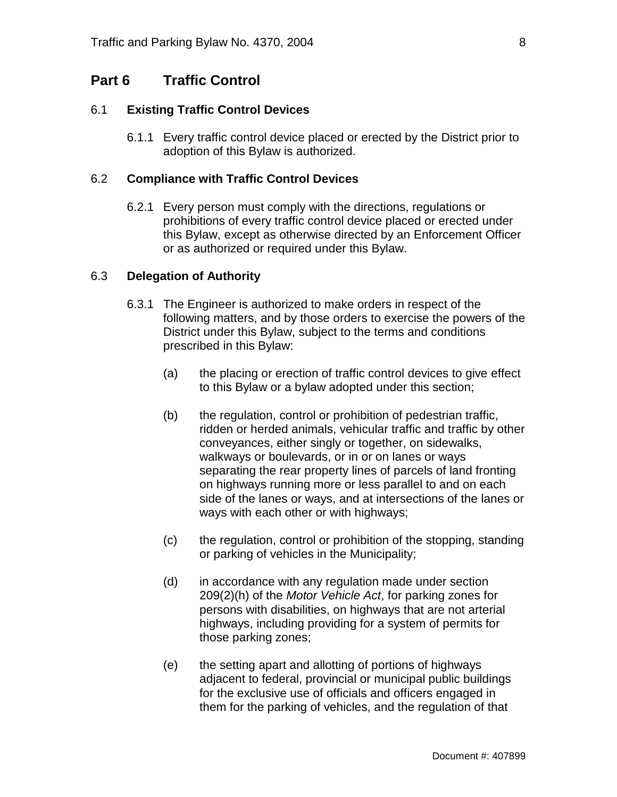### **Part 6 Traffic Control**

#### 6.1 **Existing Traffic Control Devices**

6.1.1 Every traffic control device placed or erected by the District prior to adoption of this Bylaw is authorized.

#### 6.2 **Compliance with Traffic Control Devices**

6.2.1 Every person must comply with the directions, regulations or prohibitions of every traffic control device placed or erected under this Bylaw, except as otherwise directed by an Enforcement Officer or as authorized or required under this Bylaw.

#### 6.3 **Delegation of Authority**

- 6.3.1 The Engineer is authorized to make orders in respect of the following matters, and by those orders to exercise the powers of the District under this Bylaw, subject to the terms and conditions prescribed in this Bylaw:
	- (a) the placing or erection of traffic control devices to give effect to this Bylaw or a bylaw adopted under this section;
	- (b) the regulation, control or prohibition of pedestrian traffic, ridden or herded animals, vehicular traffic and traffic by other conveyances, either singly or together, on sidewalks, walkways or boulevards, or in or on lanes or ways separating the rear property lines of parcels of land fronting on highways running more or less parallel to and on each side of the lanes or ways, and at intersections of the lanes or ways with each other or with highways;
	- (c) the regulation, control or prohibition of the stopping, standing or parking of vehicles in the Municipality;
	- (d) in accordance with any regulation made under section 209(2)(h) of the *Motor Vehicle Act*, for parking zones for persons with disabilities, on highways that are not arterial highways, including providing for a system of permits for those parking zones;
	- (e) the setting apart and allotting of portions of highways adjacent to federal, provincial or municipal public buildings for the exclusive use of officials and officers engaged in them for the parking of vehicles, and the regulation of that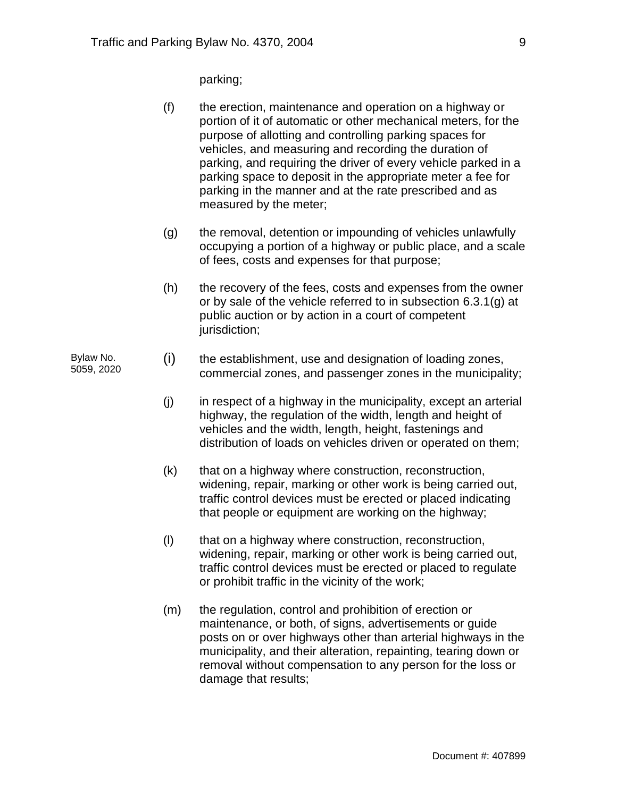parking;

- (f) the erection, maintenance and operation on a highway or portion of it of automatic or other mechanical meters, for the purpose of allotting and controlling parking spaces for vehicles, and measuring and recording the duration of parking, and requiring the driver of every vehicle parked in a parking space to deposit in the appropriate meter a fee for parking in the manner and at the rate prescribed and as measured by the meter;
- (g) the removal, detention or impounding of vehicles unlawfully occupying a portion of a highway or public place, and a scale of fees, costs and expenses for that purpose;
- (h) the recovery of the fees, costs and expenses from the owner or by sale of the vehicle referred to in subsection 6.3.1(g) at public auction or by action in a court of competent jurisdiction;
- (i) the establishment, use and designation of loading zones, commercial zones, and passenger zones in the municipality; Bylaw No. 5059, 2020
	- $(i)$  in respect of a highway in the municipality, except an arterial highway, the regulation of the width, length and height of vehicles and the width, length, height, fastenings and distribution of loads on vehicles driven or operated on them;
	- (k) that on a highway where construction, reconstruction, widening, repair, marking or other work is being carried out, traffic control devices must be erected or placed indicating that people or equipment are working on the highway;
	- (l) that on a highway where construction, reconstruction, widening, repair, marking or other work is being carried out, traffic control devices must be erected or placed to regulate or prohibit traffic in the vicinity of the work;
	- (m) the regulation, control and prohibition of erection or maintenance, or both, of signs, advertisements or guide posts on or over highways other than arterial highways in the municipality, and their alteration, repainting, tearing down or removal without compensation to any person for the loss or damage that results;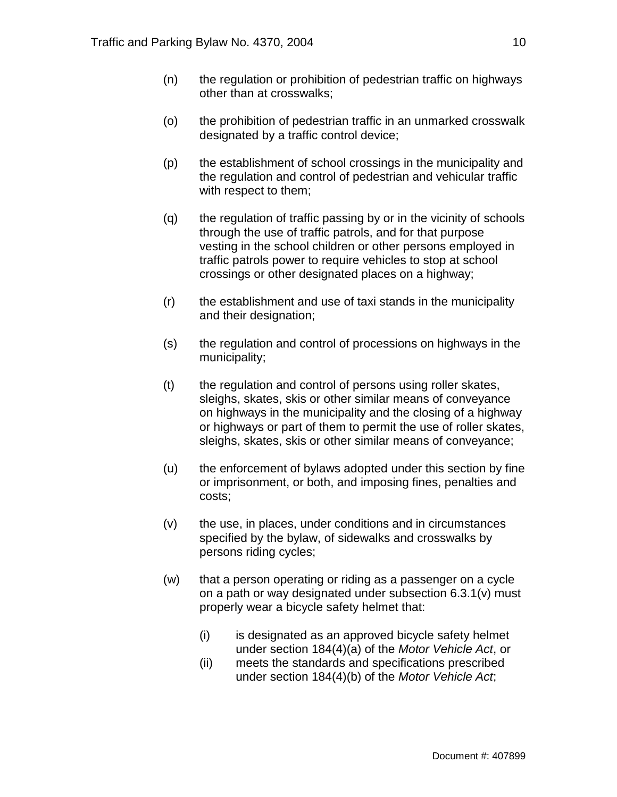- (n) the regulation or prohibition of pedestrian traffic on highways other than at crosswalks;
- (o) the prohibition of pedestrian traffic in an unmarked crosswalk designated by a traffic control device;
- (p) the establishment of school crossings in the municipality and the regulation and control of pedestrian and vehicular traffic with respect to them;
- (q) the regulation of traffic passing by or in the vicinity of schools through the use of traffic patrols, and for that purpose vesting in the school children or other persons employed in traffic patrols power to require vehicles to stop at school crossings or other designated places on a highway;
- (r) the establishment and use of taxi stands in the municipality and their designation;
- (s) the regulation and control of processions on highways in the municipality;
- (t) the regulation and control of persons using roller skates, sleighs, skates, skis or other similar means of conveyance on highways in the municipality and the closing of a highway or highways or part of them to permit the use of roller skates, sleighs, skates, skis or other similar means of conveyance;
- (u) the enforcement of bylaws adopted under this section by fine or imprisonment, or both, and imposing fines, penalties and costs;
- (v) the use, in places, under conditions and in circumstances specified by the bylaw, of sidewalks and crosswalks by persons riding cycles;
- (w) that a person operating or riding as a passenger on a cycle on a path or way designated under subsection 6.3.1(v) must properly wear a bicycle safety helmet that:
	- (i) is designated as an approved bicycle safety helmet under section 184(4)(a) of the *Motor Vehicle Act*, or
	- (ii) meets the standards and specifications prescribed under section 184(4)(b) of the *Motor Vehicle Act*;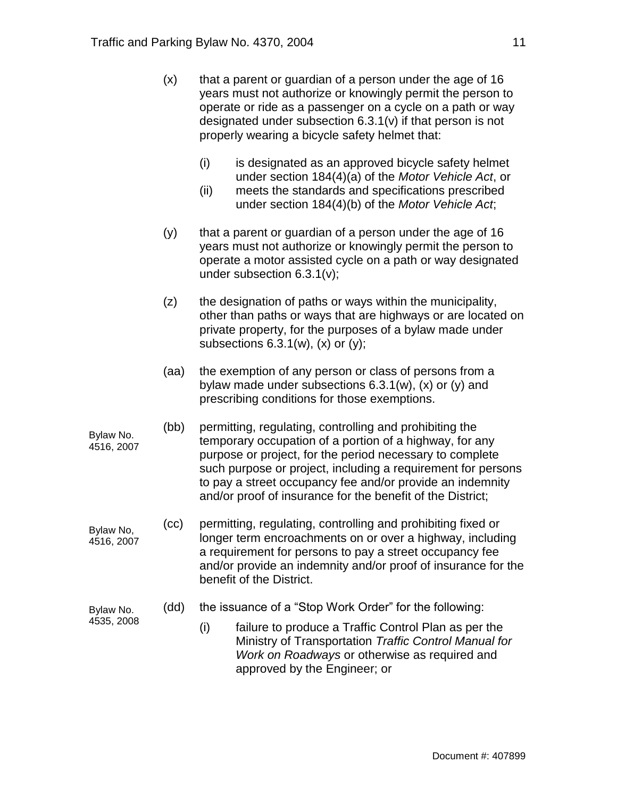- $(x)$  that a parent or guardian of a person under the age of 16 years must not authorize or knowingly permit the person to operate or ride as a passenger on a cycle on a path or way designated under subsection 6.3.1(v) if that person is not properly wearing a bicycle safety helmet that:
	- (i) is designated as an approved bicycle safety helmet under section 184(4)(a) of the *Motor Vehicle Act*, or
	- (ii) meets the standards and specifications prescribed under section 184(4)(b) of the *Motor Vehicle Act*;
- $(y)$  that a parent or guardian of a person under the age of 16 years must not authorize or knowingly permit the person to operate a motor assisted cycle on a path or way designated under subsection 6.3.1(v);
- (z) the designation of paths or ways within the municipality, other than paths or ways that are highways or are located on private property, for the purposes of a bylaw made under subsections  $6.3.1(w)$ ,  $(x)$  or  $(y)$ ;
- (aa) the exemption of any person or class of persons from a bylaw made under subsections 6.3.1(w), (x) or (y) and prescribing conditions for those exemptions.
- (bb) permitting, regulating, controlling and prohibiting the temporary occupation of a portion of a highway, for any purpose or project, for the period necessary to complete such purpose or project, including a requirement for persons to pay a street occupancy fee and/or provide an indemnity and/or proof of insurance for the benefit of the District; 4516, 2007
- (cc) permitting, regulating, controlling and prohibiting fixed or longer term encroachments on or over a highway, including a requirement for persons to pay a street occupancy fee and/or provide an indemnity and/or proof of insurance for the benefit of the District. Bylaw No, 4516, 2007
- (dd) the issuance of a "Stop Work Order" for the following: Bylaw No.
- 4535, 2008

Bylaw No.

(i) failure to produce a Traffic Control Plan as per the Ministry of Transportation *Traffic Control Manual for Work on Roadways* or otherwise as required and approved by the Engineer; or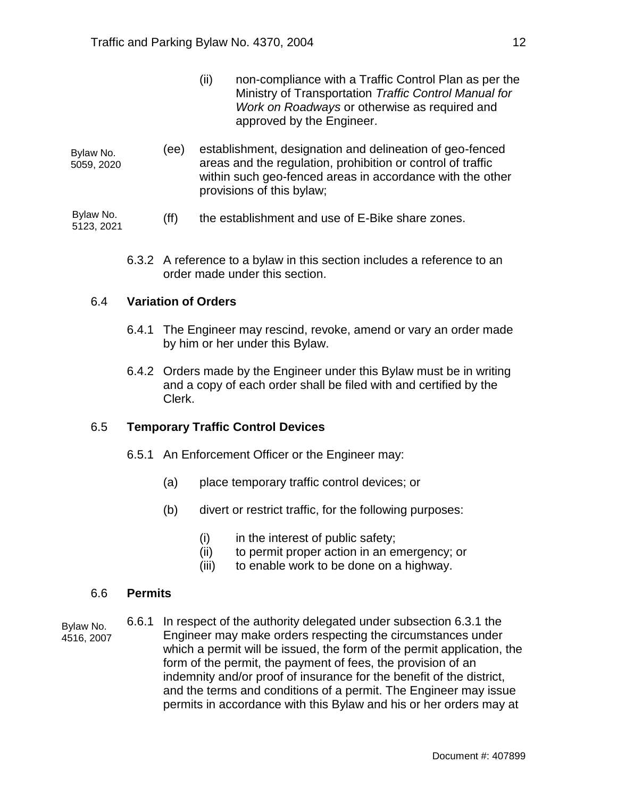- (ii) non-compliance with a Traffic Control Plan as per the Ministry of Transportation *Traffic Control Manual for Work on Roadways* or otherwise as required and approved by the Engineer.
- (ee) establishment, designation and delineation of geo-fenced areas and the regulation, prohibition or control of traffic within such geo-fenced areas in accordance with the other provisions of this bylaw; Bylaw No. 5059, 2020

(ff) the establishment and use of E-Bike share zones. Bylaw No. 5123, 2021

6.3.2 A reference to a bylaw in this section includes a reference to an order made under this section.

#### 6.4 **Variation of Orders**

- 6.4.1 The Engineer may rescind, revoke, amend or vary an order made by him or her under this Bylaw.
- 6.4.2 Orders made by the Engineer under this Bylaw must be in writing and a copy of each order shall be filed with and certified by the Clerk.

### 6.5 **Temporary Traffic Control Devices**

- 6.5.1 An Enforcement Officer or the Engineer may:
	- (a) place temporary traffic control devices; or
	- (b) divert or restrict traffic, for the following purposes:
		- $(i)$  in the interest of public safety;
		- (ii) to permit proper action in an emergency; or
		- (iii) to enable work to be done on a highway.

#### 6.6 **Permits**

- Bylaw No. 4516, 2007
- 6.6.1 In respect of the authority delegated under subsection 6.3.1 the Engineer may make orders respecting the circumstances under which a permit will be issued, the form of the permit application, the form of the permit, the payment of fees, the provision of an indemnity and/or proof of insurance for the benefit of the district, and the terms and conditions of a permit. The Engineer may issue permits in accordance with this Bylaw and his or her orders may at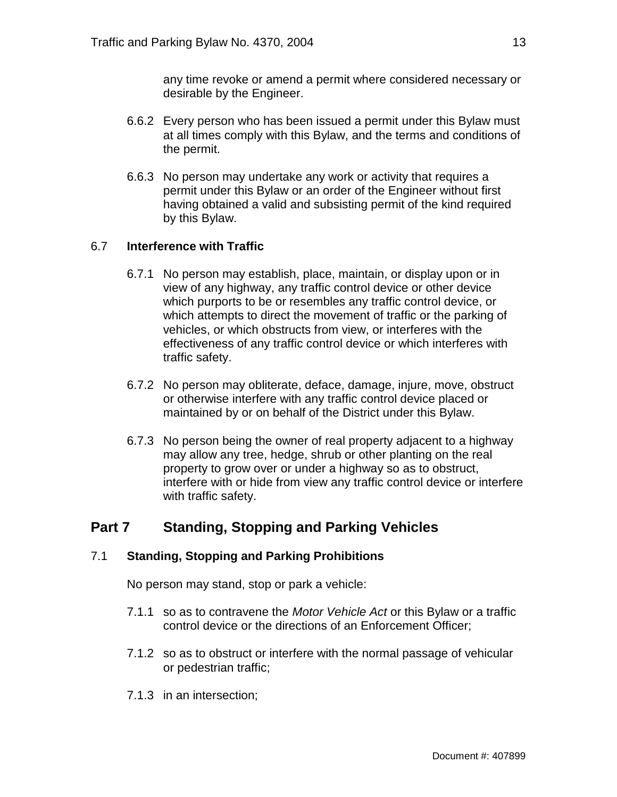any time revoke or amend a permit where considered necessary or desirable by the Engineer.

- 6.6.2 Every person who has been issued a permit under this Bylaw must at all times comply with this Bylaw, and the terms and conditions of the permit.
- 6.6.3 No person may undertake any work or activity that requires a permit under this Bylaw or an order of the Engineer without first having obtained a valid and subsisting permit of the kind required by this Bylaw.

### 6.7 **Interference with Traffic**

- 6.7.1 No person may establish, place, maintain, or display upon or in view of any highway, any traffic control device or other device which purports to be or resembles any traffic control device, or which attempts to direct the movement of traffic or the parking of vehicles, or which obstructs from view, or interferes with the effectiveness of any traffic control device or which interferes with traffic safety.
- 6.7.2 No person may obliterate, deface, damage, injure, move, obstruct or otherwise interfere with any traffic control device placed or maintained by or on behalf of the District under this Bylaw.
- 6.7.3 No person being the owner of real property adjacent to a highway may allow any tree, hedge, shrub or other planting on the real property to grow over or under a highway so as to obstruct, interfere with or hide from view any traffic control device or interfere with traffic safety.

# **Part 7 Standing, Stopping and Parking Vehicles**

### 7.1 **Standing, Stopping and Parking Prohibitions**

No person may stand, stop or park a vehicle:

- 7.1.1 so as to contravene the *Motor Vehicle Act* or this Bylaw or a traffic control device or the directions of an Enforcement Officer;
- 7.1.2 so as to obstruct or interfere with the normal passage of vehicular or pedestrian traffic;
- 7.1.3 in an intersection;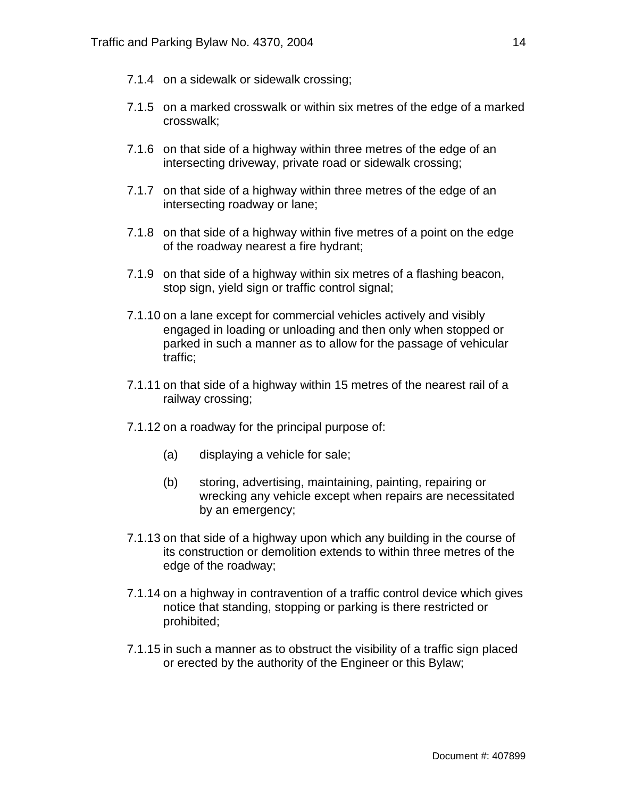- 7.1.4 on a sidewalk or sidewalk crossing;
- 7.1.5 on a marked crosswalk or within six metres of the edge of a marked crosswalk;
- 7.1.6 on that side of a highway within three metres of the edge of an intersecting driveway, private road or sidewalk crossing;
- 7.1.7 on that side of a highway within three metres of the edge of an intersecting roadway or lane;
- 7.1.8 on that side of a highway within five metres of a point on the edge of the roadway nearest a fire hydrant;
- 7.1.9 on that side of a highway within six metres of a flashing beacon, stop sign, yield sign or traffic control signal;
- 7.1.10 on a lane except for commercial vehicles actively and visibly engaged in loading or unloading and then only when stopped or parked in such a manner as to allow for the passage of vehicular traffic;
- 7.1.11 on that side of a highway within 15 metres of the nearest rail of a railway crossing;
- 7.1.12 on a roadway for the principal purpose of:
	- (a) displaying a vehicle for sale;
	- (b) storing, advertising, maintaining, painting, repairing or wrecking any vehicle except when repairs are necessitated by an emergency;
- 7.1.13 on that side of a highway upon which any building in the course of its construction or demolition extends to within three metres of the edge of the roadway;
- 7.1.14 on a highway in contravention of a traffic control device which gives notice that standing, stopping or parking is there restricted or prohibited;
- 7.1.15 in such a manner as to obstruct the visibility of a traffic sign placed or erected by the authority of the Engineer or this Bylaw;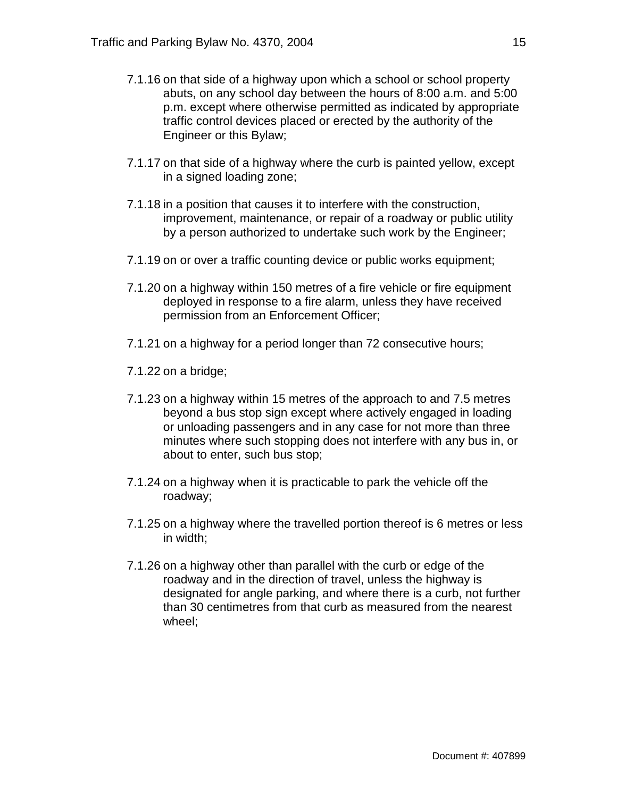- 7.1.16 on that side of a highway upon which a school or school property abuts, on any school day between the hours of 8:00 a.m. and 5:00 p.m. except where otherwise permitted as indicated by appropriate traffic control devices placed or erected by the authority of the Engineer or this Bylaw;
- 7.1.17 on that side of a highway where the curb is painted yellow, except in a signed loading zone;
- 7.1.18 in a position that causes it to interfere with the construction, improvement, maintenance, or repair of a roadway or public utility by a person authorized to undertake such work by the Engineer;
- 7.1.19 on or over a traffic counting device or public works equipment;
- 7.1.20 on a highway within 150 metres of a fire vehicle or fire equipment deployed in response to a fire alarm, unless they have received permission from an Enforcement Officer;
- 7.1.21 on a highway for a period longer than 72 consecutive hours;
- 7.1.22 on a bridge;
- 7.1.23 on a highway within 15 metres of the approach to and 7.5 metres beyond a bus stop sign except where actively engaged in loading or unloading passengers and in any case for not more than three minutes where such stopping does not interfere with any bus in, or about to enter, such bus stop;
- 7.1.24 on a highway when it is practicable to park the vehicle off the roadway;
- 7.1.25 on a highway where the travelled portion thereof is 6 metres or less in width;
- 7.1.26 on a highway other than parallel with the curb or edge of the roadway and in the direction of travel, unless the highway is designated for angle parking, and where there is a curb, not further than 30 centimetres from that curb as measured from the nearest wheel;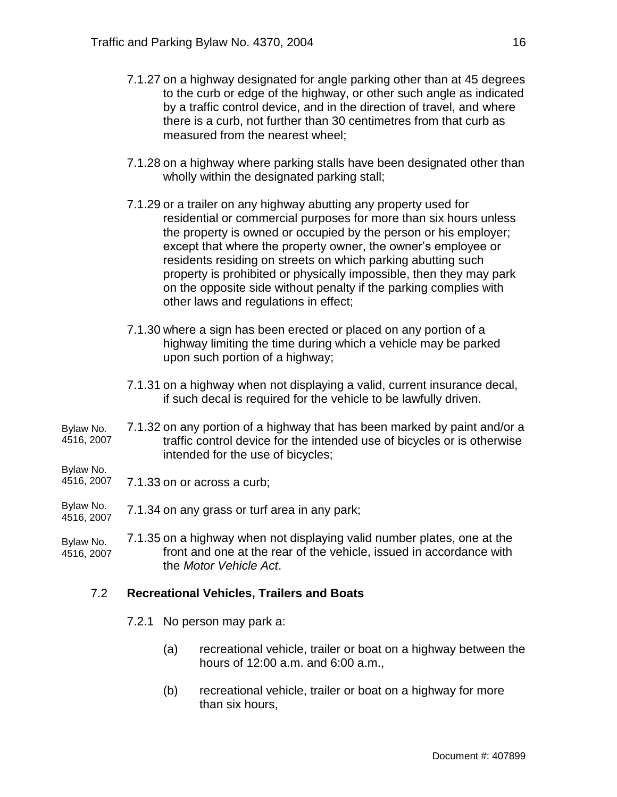- 7.1.27 on a highway designated for angle parking other than at 45 degrees to the curb or edge of the highway, or other such angle as indicated by a traffic control device, and in the direction of travel, and where there is a curb, not further than 30 centimetres from that curb as measured from the nearest wheel;
- 7.1.28 on a highway where parking stalls have been designated other than wholly within the designated parking stall;
- 7.1.29 or a trailer on any highway abutting any property used for residential or commercial purposes for more than six hours unless the property is owned or occupied by the person or his employer; except that where the property owner, the owner's employee or residents residing on streets on which parking abutting such property is prohibited or physically impossible, then they may park on the opposite side without penalty if the parking complies with other laws and regulations in effect;
- 7.1.30 where a sign has been erected or placed on any portion of a highway limiting the time during which a vehicle may be parked upon such portion of a highway;
- 7.1.31 on a highway when not displaying a valid, current insurance decal, if such decal is required for the vehicle to be lawfully driven.
- 7.1.32 on any portion of a highway that has been marked by paint and/or a traffic control device for the intended use of bicycles or is otherwise intended for the use of bicycles; Bylaw No. 4516, 2007

Bylaw No.

- 7.1.33 on or across a curb; 4516, 2007
- 7.1.34 on any grass or turf area in any park; Bylaw No. 4516, 2007

7.1.35 on a highway when not displaying valid number plates, one at the front and one at the rear of the vehicle, issued in accordance with the *Motor Vehicle Act*. Bylaw No. 4516, 2007

### 7.2 **Recreational Vehicles, Trailers and Boats**

- 7.2.1 No person may park a:
	- (a) recreational vehicle, trailer or boat on a highway between the hours of 12:00 a.m. and 6:00 a.m.,
	- (b) recreational vehicle, trailer or boat on a highway for more than six hours,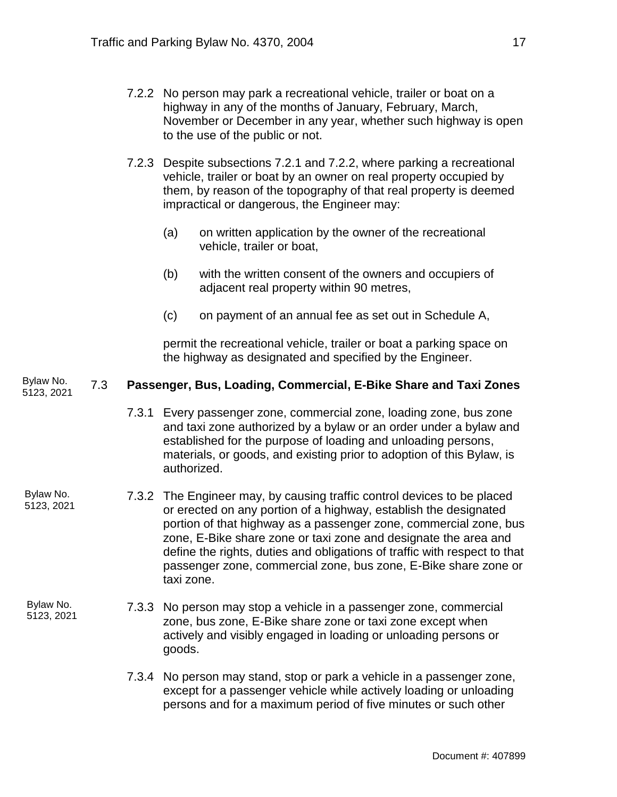- 7.2.2 No person may park a recreational vehicle, trailer or boat on a highway in any of the months of January, February, March, November or December in any year, whether such highway is open to the use of the public or not.
- 7.2.3 Despite subsections 7.2.1 and 7.2.2, where parking a recreational vehicle, trailer or boat by an owner on real property occupied by them, by reason of the topography of that real property is deemed impractical or dangerous, the Engineer may:
	- (a) on written application by the owner of the recreational vehicle, trailer or boat,
	- (b) with the written consent of the owners and occupiers of adjacent real property within 90 metres,
	- (c) on payment of an annual fee as set out in Schedule A,

permit the recreational vehicle, trailer or boat a parking space on the highway as designated and specified by the Engineer.

#### 7.3 **Passenger, Bus, Loading, Commercial, E-Bike Share and Taxi Zones** Bylaw No. 5123, 2021

7.3.1 Every passenger zone, commercial zone, loading zone, bus zone and taxi zone authorized by a bylaw or an order under a bylaw and established for the purpose of loading and unloading persons, materials, or goods, and existing prior to adoption of this Bylaw, is authorized.

- 7.3.2 The Engineer may, by causing traffic control devices to be placed or erected on any portion of a highway, establish the designated portion of that highway as a passenger zone, commercial zone, bus zone, E-Bike share zone or taxi zone and designate the area and define the rights, duties and obligations of traffic with respect to that passenger zone, commercial zone, bus zone, E-Bike share zone or taxi zone. Bylaw No. 5123, 2021
- 7.3.3 No person may stop a vehicle in a passenger zone, commercial zone, bus zone, E-Bike share zone or taxi zone except when actively and visibly engaged in loading or unloading persons or goods. Bylaw No. 5123, 2021
	- 7.3.4 No person may stand, stop or park a vehicle in a passenger zone, except for a passenger vehicle while actively loading or unloading persons and for a maximum period of five minutes or such other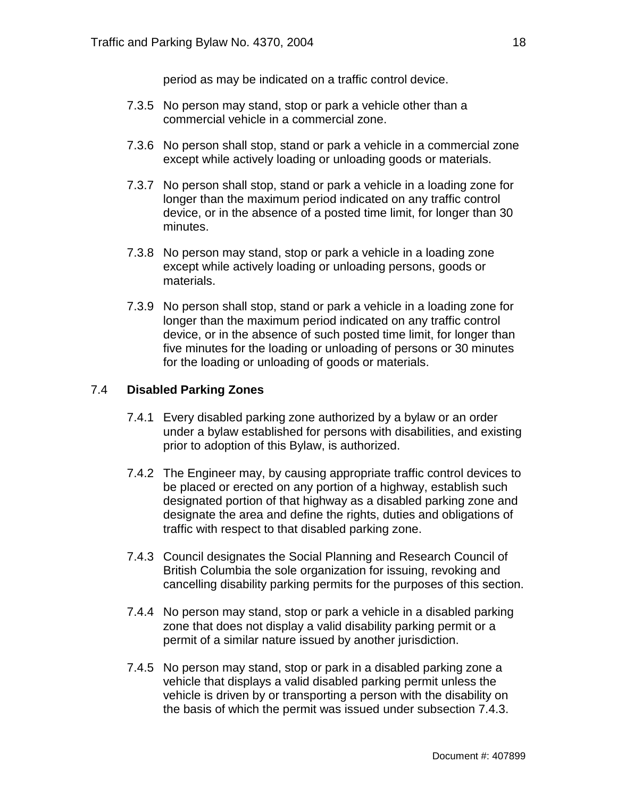period as may be indicated on a traffic control device.

- 7.3.5 No person may stand, stop or park a vehicle other than a commercial vehicle in a commercial zone.
- 7.3.6 No person shall stop, stand or park a vehicle in a commercial zone except while actively loading or unloading goods or materials.
- 7.3.7 No person shall stop, stand or park a vehicle in a loading zone for longer than the maximum period indicated on any traffic control device, or in the absence of a posted time limit, for longer than 30 minutes.
- 7.3.8 No person may stand, stop or park a vehicle in a loading zone except while actively loading or unloading persons, goods or materials.
- 7.3.9 No person shall stop, stand or park a vehicle in a loading zone for longer than the maximum period indicated on any traffic control device, or in the absence of such posted time limit, for longer than five minutes for the loading or unloading of persons or 30 minutes for the loading or unloading of goods or materials.

### 7.4 **Disabled Parking Zones**

- 7.4.1 Every disabled parking zone authorized by a bylaw or an order under a bylaw established for persons with disabilities, and existing prior to adoption of this Bylaw, is authorized.
- 7.4.2 The Engineer may, by causing appropriate traffic control devices to be placed or erected on any portion of a highway, establish such designated portion of that highway as a disabled parking zone and designate the area and define the rights, duties and obligations of traffic with respect to that disabled parking zone.
- 7.4.3 Council designates the Social Planning and Research Council of British Columbia the sole organization for issuing, revoking and cancelling disability parking permits for the purposes of this section.
- 7.4.4 No person may stand, stop or park a vehicle in a disabled parking zone that does not display a valid disability parking permit or a permit of a similar nature issued by another jurisdiction.
- 7.4.5 No person may stand, stop or park in a disabled parking zone a vehicle that displays a valid disabled parking permit unless the vehicle is driven by or transporting a person with the disability on the basis of which the permit was issued under subsection 7.4.3.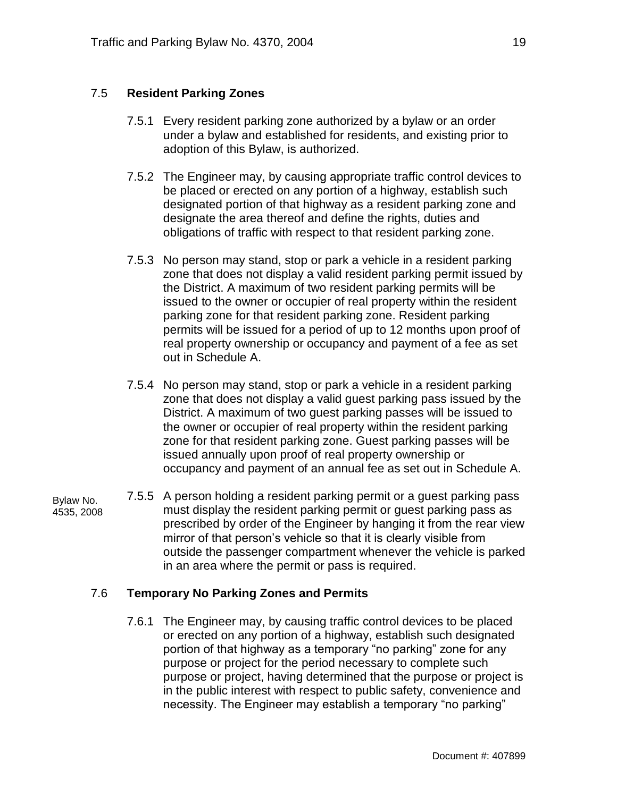### 7.5 **Resident Parking Zones**

- 7.5.1 Every resident parking zone authorized by a bylaw or an order under a bylaw and established for residents, and existing prior to adoption of this Bylaw, is authorized.
- 7.5.2 The Engineer may, by causing appropriate traffic control devices to be placed or erected on any portion of a highway, establish such designated portion of that highway as a resident parking zone and designate the area thereof and define the rights, duties and obligations of traffic with respect to that resident parking zone.
- 7.5.3 No person may stand, stop or park a vehicle in a resident parking zone that does not display a valid resident parking permit issued by the District. A maximum of two resident parking permits will be issued to the owner or occupier of real property within the resident parking zone for that resident parking zone. Resident parking permits will be issued for a period of up to 12 months upon proof of real property ownership or occupancy and payment of a fee as set out in Schedule A.
- 7.5.4 No person may stand, stop or park a vehicle in a resident parking zone that does not display a valid guest parking pass issued by the District. A maximum of two guest parking passes will be issued to the owner or occupier of real property within the resident parking zone for that resident parking zone. Guest parking passes will be issued annually upon proof of real property ownership or occupancy and payment of an annual fee as set out in Schedule A.

Bylaw No. 4535, 2008 7.5.5 A person holding a resident parking permit or a guest parking pass must display the resident parking permit or guest parking pass as prescribed by order of the Engineer by hanging it from the rear view mirror of that person's vehicle so that it is clearly visible from outside the passenger compartment whenever the vehicle is parked in an area where the permit or pass is required.

### 7.6 **Temporary No Parking Zones and Permits**

7.6.1 The Engineer may, by causing traffic control devices to be placed or erected on any portion of a highway, establish such designated portion of that highway as a temporary "no parking" zone for any purpose or project for the period necessary to complete such purpose or project, having determined that the purpose or project is in the public interest with respect to public safety, convenience and necessity. The Engineer may establish a temporary "no parking"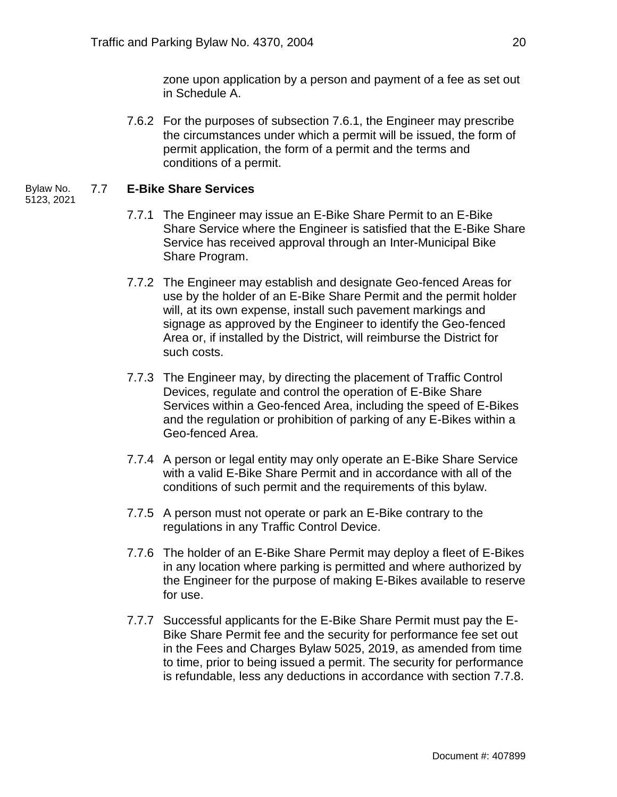zone upon application by a person and payment of a fee as set out in Schedule A.

7.6.2 For the purposes of subsection 7.6.1, the Engineer may prescribe the circumstances under which a permit will be issued, the form of permit application, the form of a permit and the terms and conditions of a permit.

#### 7.7 **E-Bike Share Services** Bylaw No.

- 5123, 2021
- 7.7.1 The Engineer may issue an E-Bike Share Permit to an E-Bike Share Service where the Engineer is satisfied that the E-Bike Share Service has received approval through an Inter-Municipal Bike Share Program.
- 7.7.2 The Engineer may establish and designate Geo-fenced Areas for use by the holder of an E-Bike Share Permit and the permit holder will, at its own expense, install such pavement markings and signage as approved by the Engineer to identify the Geo-fenced Area or, if installed by the District, will reimburse the District for such costs.
- 7.7.3 The Engineer may, by directing the placement of Traffic Control Devices, regulate and control the operation of E-Bike Share Services within a Geo-fenced Area, including the speed of E-Bikes and the regulation or prohibition of parking of any E-Bikes within a Geo-fenced Area.
- 7.7.4 A person or legal entity may only operate an E-Bike Share Service with a valid E-Bike Share Permit and in accordance with all of the conditions of such permit and the requirements of this bylaw.
- 7.7.5 A person must not operate or park an E-Bike contrary to the regulations in any Traffic Control Device.
- 7.7.6 The holder of an E-Bike Share Permit may deploy a fleet of E-Bikes in any location where parking is permitted and where authorized by the Engineer for the purpose of making E-Bikes available to reserve for use.
- 7.7.7 Successful applicants for the E-Bike Share Permit must pay the E-Bike Share Permit fee and the security for performance fee set out in the Fees and Charges Bylaw 5025, 2019, as amended from time to time, prior to being issued a permit. The security for performance is refundable, less any deductions in accordance with section 7.7.8.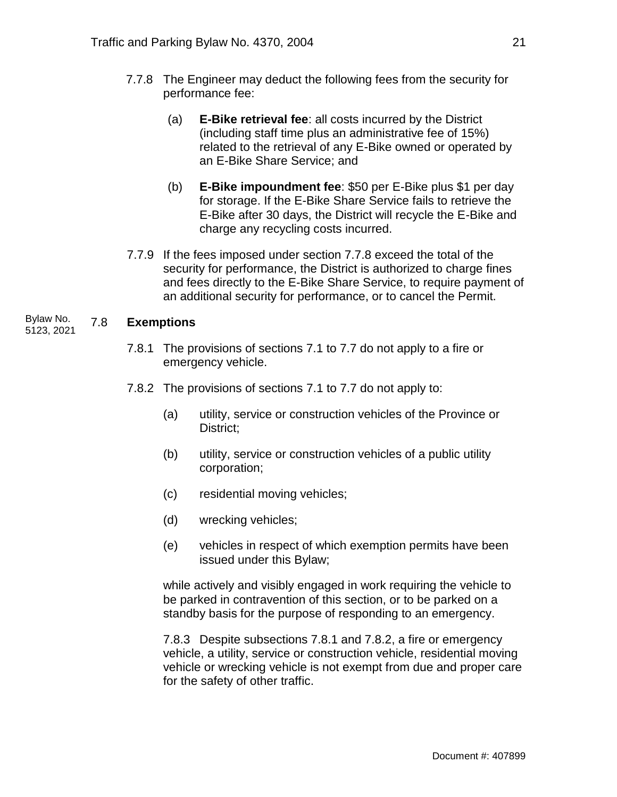- 7.7.8 The Engineer may deduct the following fees from the security for performance fee:
	- (a) **E-Bike retrieval fee**: all costs incurred by the District (including staff time plus an administrative fee of 15%) related to the retrieval of any E-Bike owned or operated by an E-Bike Share Service; and
	- (b) **E-Bike impoundment fee**: \$50 per E-Bike plus \$1 per day for storage. If the E-Bike Share Service fails to retrieve the E-Bike after 30 days, the District will recycle the E-Bike and charge any recycling costs incurred.
- 7.7.9 If the fees imposed under section 7.7.8 exceed the total of the security for performance, the District is authorized to charge fines and fees directly to the E-Bike Share Service, to require payment of an additional security for performance, or to cancel the Permit.

#### 7.8 **Exemptions** Bylaw No. 5123, 2021

- 7.8.1 The provisions of sections 7.1 to 7.7 do not apply to a fire or emergency vehicle.
- 7.8.2 The provisions of sections 7.1 to 7.7 do not apply to:
	- (a) utility, service or construction vehicles of the Province or District;
	- (b) utility, service or construction vehicles of a public utility corporation;
	- (c) residential moving vehicles;
	- (d) wrecking vehicles;
	- (e) vehicles in respect of which exemption permits have been issued under this Bylaw;

while actively and visibly engaged in work requiring the vehicle to be parked in contravention of this section, or to be parked on a standby basis for the purpose of responding to an emergency.

7.8.3 Despite subsections 7.8.1 and 7.8.2, a fire or emergency vehicle, a utility, service or construction vehicle, residential moving vehicle or wrecking vehicle is not exempt from due and proper care for the safety of other traffic.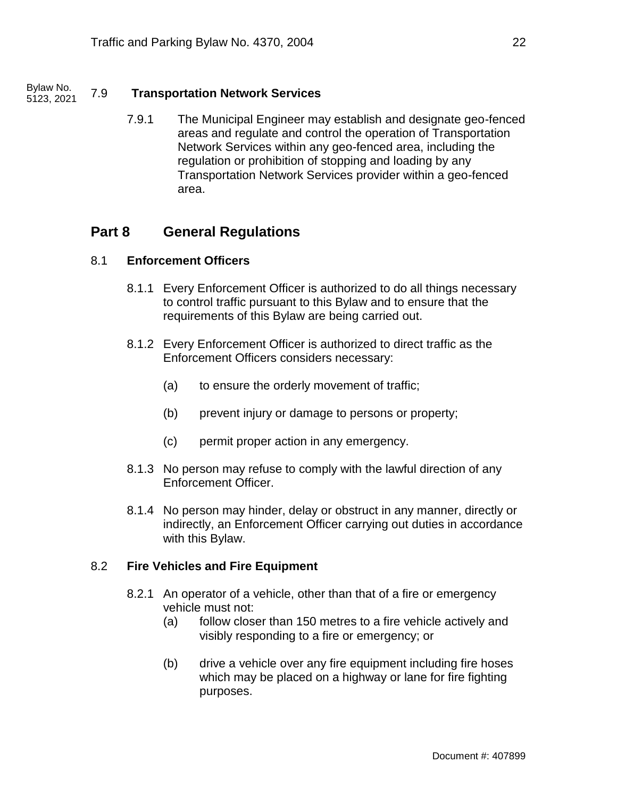#### 7.9 **Transportation Network Services** Bylaw No. 5123, 2021

7.9.1 The Municipal Engineer may establish and designate geo-fenced areas and regulate and control the operation of Transportation Network Services within any geo-fenced area, including the regulation or prohibition of stopping and loading by any Transportation Network Services provider within a geo-fenced area.

### **Part 8 General Regulations**

### 8.1 **Enforcement Officers**

- 8.1.1 Every Enforcement Officer is authorized to do all things necessary to control traffic pursuant to this Bylaw and to ensure that the requirements of this Bylaw are being carried out.
- 8.1.2 Every Enforcement Officer is authorized to direct traffic as the Enforcement Officers considers necessary:
	- (a) to ensure the orderly movement of traffic;
	- (b) prevent injury or damage to persons or property;
	- (c) permit proper action in any emergency.
- 8.1.3 No person may refuse to comply with the lawful direction of any Enforcement Officer.
- 8.1.4 No person may hinder, delay or obstruct in any manner, directly or indirectly, an Enforcement Officer carrying out duties in accordance with this Bylaw.

#### 8.2 **Fire Vehicles and Fire Equipment**

- 8.2.1 An operator of a vehicle, other than that of a fire or emergency vehicle must not:
	- (a) follow closer than 150 metres to a fire vehicle actively and visibly responding to a fire or emergency; or
	- (b) drive a vehicle over any fire equipment including fire hoses which may be placed on a highway or lane for fire fighting purposes.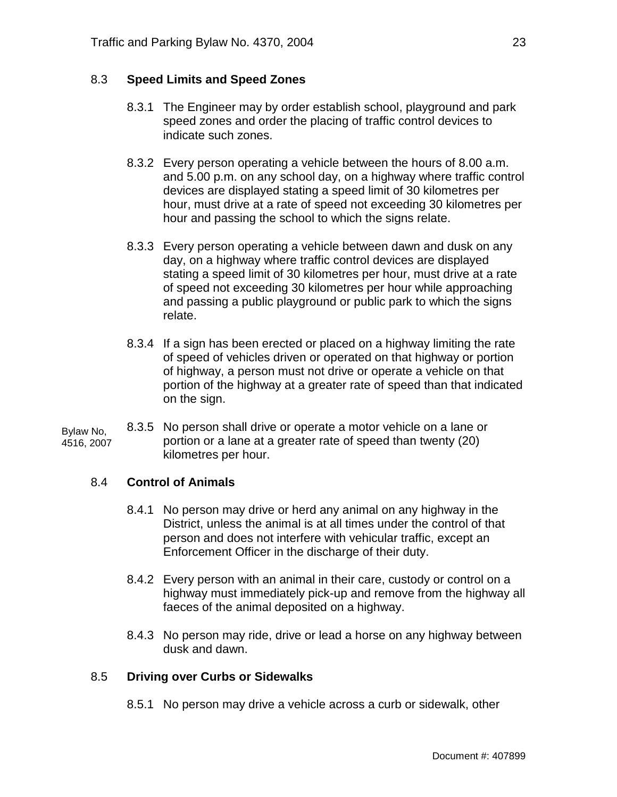#### 8.3 **Speed Limits and Speed Zones**

- 8.3.1 The Engineer may by order establish school, playground and park speed zones and order the placing of traffic control devices to indicate such zones.
- 8.3.2 Every person operating a vehicle between the hours of 8.00 a.m. and 5.00 p.m. on any school day, on a highway where traffic control devices are displayed stating a speed limit of 30 kilometres per hour, must drive at a rate of speed not exceeding 30 kilometres per hour and passing the school to which the signs relate.
- 8.3.3 Every person operating a vehicle between dawn and dusk on any day, on a highway where traffic control devices are displayed stating a speed limit of 30 kilometres per hour, must drive at a rate of speed not exceeding 30 kilometres per hour while approaching and passing a public playground or public park to which the signs relate.
- 8.3.4 If a sign has been erected or placed on a highway limiting the rate of speed of vehicles driven or operated on that highway or portion of highway, a person must not drive or operate a vehicle on that portion of the highway at a greater rate of speed than that indicated on the sign.

8.3.5 No person shall drive or operate a motor vehicle on a lane or portion or a lane at a greater rate of speed than twenty (20) kilometres per hour. Bylaw No, 4516, 2007

#### 8.4 **Control of Animals**

- 8.4.1 No person may drive or herd any animal on any highway in the District, unless the animal is at all times under the control of that person and does not interfere with vehicular traffic, except an Enforcement Officer in the discharge of their duty.
- 8.4.2 Every person with an animal in their care, custody or control on a highway must immediately pick-up and remove from the highway all faeces of the animal deposited on a highway.
- 8.4.3 No person may ride, drive or lead a horse on any highway between dusk and dawn.

### 8.5 **Driving over Curbs or Sidewalks**

8.5.1 No person may drive a vehicle across a curb or sidewalk, other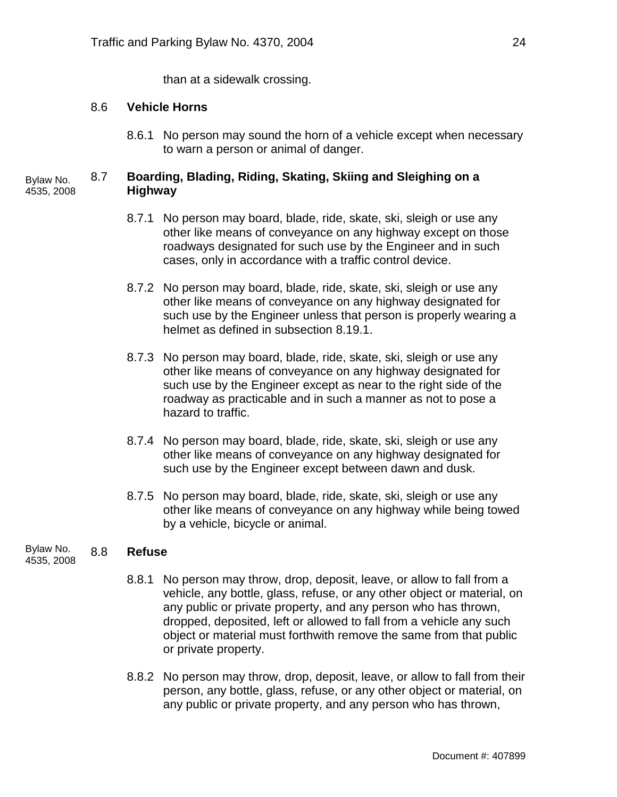than at a sidewalk crossing.

#### 8.6 **Vehicle Horns**

8.6.1 No person may sound the horn of a vehicle except when necessary to warn a person or animal of danger.

#### 8.7 **Boarding, Blading, Riding, Skating, Skiing and Sleighing on a Highway** Bylaw No. 4535, 2008

- 8.7.1 No person may board, blade, ride, skate, ski, sleigh or use any other like means of conveyance on any highway except on those roadways designated for such use by the Engineer and in such cases, only in accordance with a traffic control device.
- 8.7.2 No person may board, blade, ride, skate, ski, sleigh or use any other like means of conveyance on any highway designated for such use by the Engineer unless that person is properly wearing a helmet as defined in subsection 8.19.1.
- 8.7.3 No person may board, blade, ride, skate, ski, sleigh or use any other like means of conveyance on any highway designated for such use by the Engineer except as near to the right side of the roadway as practicable and in such a manner as not to pose a hazard to traffic.
- 8.7.4 No person may board, blade, ride, skate, ski, sleigh or use any other like means of conveyance on any highway designated for such use by the Engineer except between dawn and dusk.
- 8.7.5 No person may board, blade, ride, skate, ski, sleigh or use any other like means of conveyance on any highway while being towed by a vehicle, bicycle or animal.

#### 8.8 **Refuse** Bylaw No. 4535, 2008

- 8.8.1 No person may throw, drop, deposit, leave, or allow to fall from a vehicle, any bottle, glass, refuse, or any other object or material, on any public or private property, and any person who has thrown, dropped, deposited, left or allowed to fall from a vehicle any such object or material must forthwith remove the same from that public or private property.
- 8.8.2 No person may throw, drop, deposit, leave, or allow to fall from their person, any bottle, glass, refuse, or any other object or material, on any public or private property, and any person who has thrown,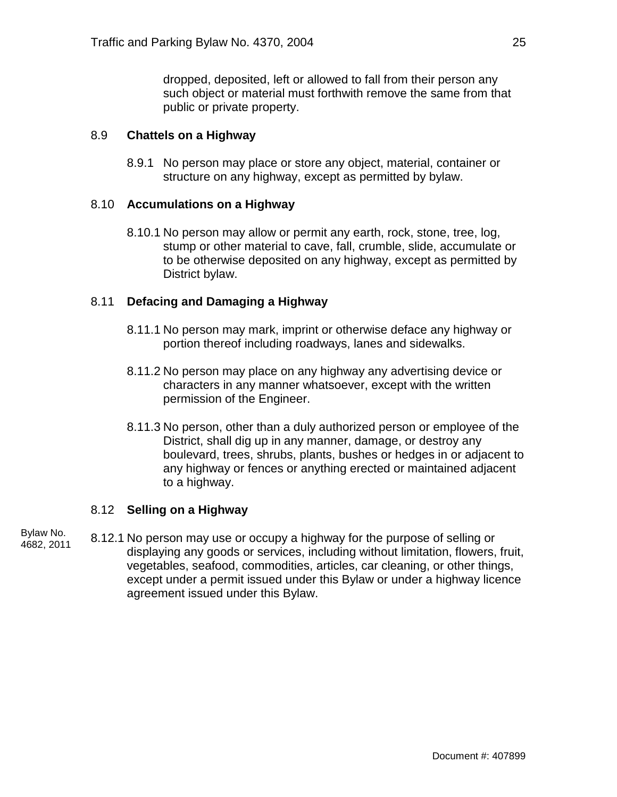dropped, deposited, left or allowed to fall from their person any such object or material must forthwith remove the same from that public or private property.

#### 8.9 **Chattels on a Highway**

8.9.1 No person may place or store any object, material, container or structure on any highway, except as permitted by bylaw.

#### 8.10 **Accumulations on a Highway**

8.10.1 No person may allow or permit any earth, rock, stone, tree, log, stump or other material to cave, fall, crumble, slide, accumulate or to be otherwise deposited on any highway, except as permitted by District bylaw.

#### 8.11 **Defacing and Damaging a Highway**

- 8.11.1 No person may mark, imprint or otherwise deface any highway or portion thereof including roadways, lanes and sidewalks.
- 8.11.2 No person may place on any highway any advertising device or characters in any manner whatsoever, except with the written permission of the Engineer.
- 8.11.3 No person, other than a duly authorized person or employee of the District, shall dig up in any manner, damage, or destroy any boulevard, trees, shrubs, plants, bushes or hedges in or adjacent to any highway or fences or anything erected or maintained adjacent to a highway.

### 8.12 **Selling on a Highway**

8.12.1 No person may use or occupy a highway for the purpose of selling or displaying any goods or services, including without limitation, flowers, fruit, vegetables, seafood, commodities, articles, car cleaning, or other things, except under a permit issued under this Bylaw or under a highway licence agreement issued under this Bylaw. Bylaw No. 4682, 2011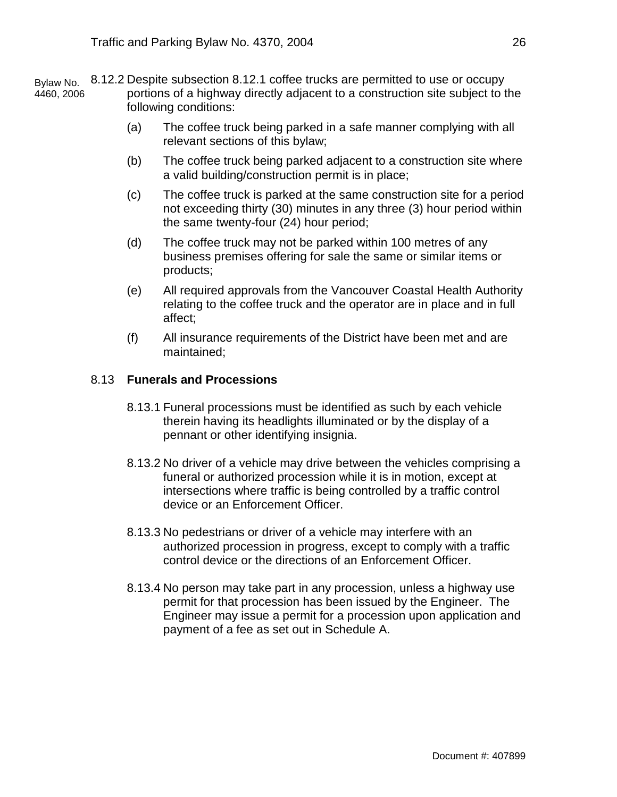8.12.2 Despite subsection 8.12.1 coffee trucks are permitted to use or occupy portions of a highway directly adjacent to a construction site subject to the following conditions: Bylaw No. 4460, 2006

- (a) The coffee truck being parked in a safe manner complying with all relevant sections of this bylaw;
- (b) The coffee truck being parked adjacent to a construction site where a valid building/construction permit is in place;
- (c) The coffee truck is parked at the same construction site for a period not exceeding thirty (30) minutes in any three (3) hour period within the same twenty-four (24) hour period;
- (d) The coffee truck may not be parked within 100 metres of any business premises offering for sale the same or similar items or products;
- (e) All required approvals from the Vancouver Coastal Health Authority relating to the coffee truck and the operator are in place and in full affect;
- (f) All insurance requirements of the District have been met and are maintained;

#### 8.13 **Funerals and Processions**

- 8.13.1 Funeral processions must be identified as such by each vehicle therein having its headlights illuminated or by the display of a pennant or other identifying insignia.
- 8.13.2 No driver of a vehicle may drive between the vehicles comprising a funeral or authorized procession while it is in motion, except at intersections where traffic is being controlled by a traffic control device or an Enforcement Officer.
- 8.13.3 No pedestrians or driver of a vehicle may interfere with an authorized procession in progress, except to comply with a traffic control device or the directions of an Enforcement Officer.
- 8.13.4 No person may take part in any procession, unless a highway use permit for that procession has been issued by the Engineer. The Engineer may issue a permit for a procession upon application and payment of a fee as set out in Schedule A.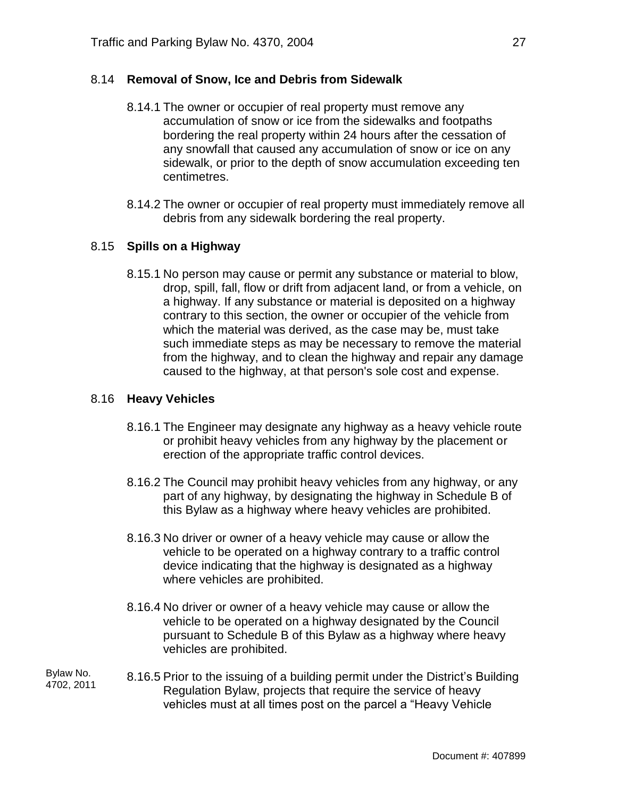### 8.14 **Removal of Snow, Ice and Debris from Sidewalk**

- 8.14.1 The owner or occupier of real property must remove any accumulation of snow or ice from the sidewalks and footpaths bordering the real property within 24 hours after the cessation of any snowfall that caused any accumulation of snow or ice on any sidewalk, or prior to the depth of snow accumulation exceeding ten centimetres.
- 8.14.2 The owner or occupier of real property must immediately remove all debris from any sidewalk bordering the real property.

#### 8.15 **Spills on a Highway**

8.15.1 No person may cause or permit any substance or material to blow, drop, spill, fall, flow or drift from adjacent land, or from a vehicle, on a highway. If any substance or material is deposited on a highway contrary to this section, the owner or occupier of the vehicle from which the material was derived, as the case may be, must take such immediate steps as may be necessary to remove the material from the highway, and to clean the highway and repair any damage caused to the highway, at that person's sole cost and expense.

#### 8.16 **Heavy Vehicles**

- 8.16.1 The Engineer may designate any highway as a heavy vehicle route or prohibit heavy vehicles from any highway by the placement or erection of the appropriate traffic control devices.
- 8.16.2 The Council may prohibit heavy vehicles from any highway, or any part of any highway, by designating the highway in Schedule B of this Bylaw as a highway where heavy vehicles are prohibited.
- 8.16.3 No driver or owner of a heavy vehicle may cause or allow the vehicle to be operated on a highway contrary to a traffic control device indicating that the highway is designated as a highway where vehicles are prohibited.
- 8.16.4 No driver or owner of a heavy vehicle may cause or allow the vehicle to be operated on a highway designated by the Council pursuant to Schedule B of this Bylaw as a highway where heavy vehicles are prohibited.
- 8.16.5 Prior to the issuing of a building permit under the District's Building Regulation Bylaw, projects that require the service of heavy vehicles must at all times post on the parcel a "Heavy Vehicle Bylaw No. 4702, 2011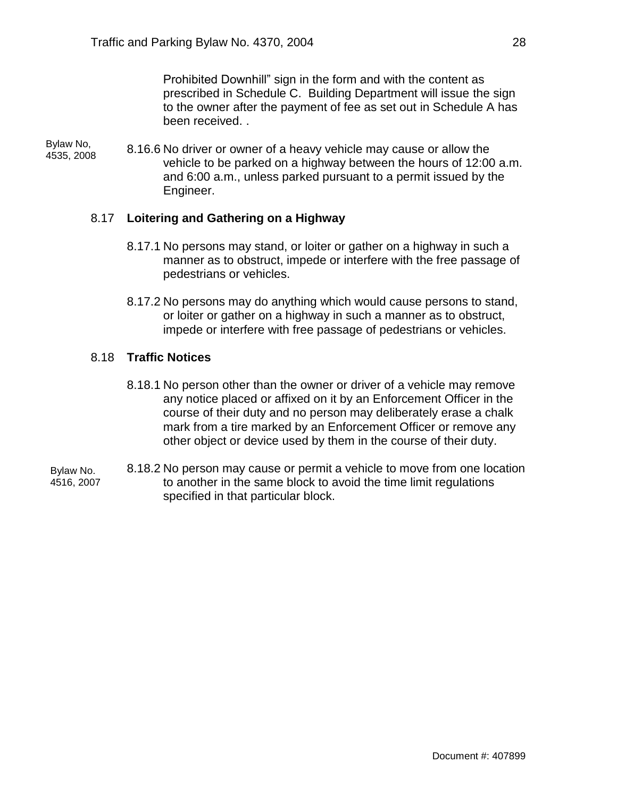Prohibited Downhill" sign in the form and with the content as prescribed in Schedule C. Building Department will issue the sign to the owner after the payment of fee as set out in Schedule A has been received. .

Bylaw No, 4535, 2008

8.16.6 No driver or owner of a heavy vehicle may cause or allow the vehicle to be parked on a highway between the hours of 12:00 a.m. and 6:00 a.m., unless parked pursuant to a permit issued by the Engineer.

### 8.17 **Loitering and Gathering on a Highway**

- 8.17.1 No persons may stand, or loiter or gather on a highway in such a manner as to obstruct, impede or interfere with the free passage of pedestrians or vehicles.
- 8.17.2 No persons may do anything which would cause persons to stand, or loiter or gather on a highway in such a manner as to obstruct, impede or interfere with free passage of pedestrians or vehicles.

#### 8.18 **Traffic Notices**

- 8.18.1 No person other than the owner or driver of a vehicle may remove any notice placed or affixed on it by an Enforcement Officer in the course of their duty and no person may deliberately erase a chalk mark from a tire marked by an Enforcement Officer or remove any other object or device used by them in the course of their duty.
- 8.18.2 No person may cause or permit a vehicle to move from one location to another in the same block to avoid the time limit regulations specified in that particular block. Bylaw No. 4516, 2007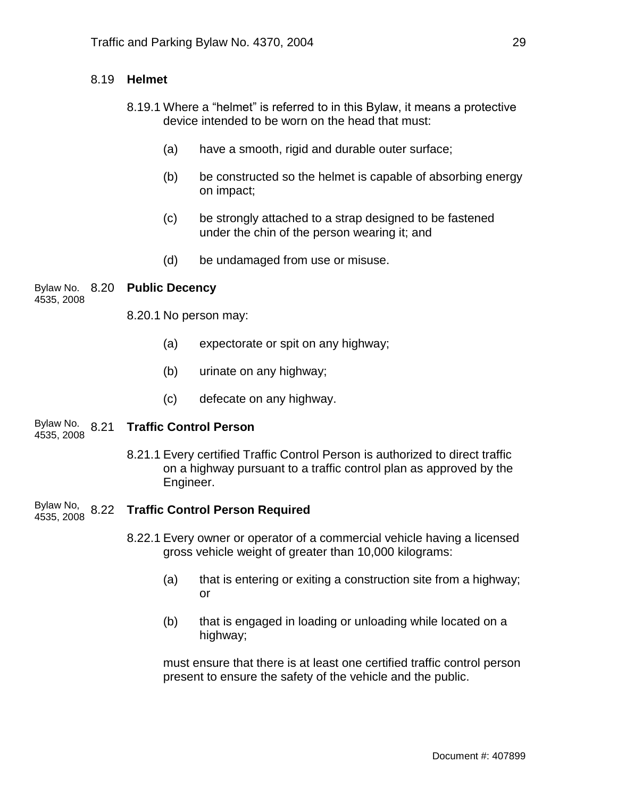### 8.19 **Helmet**

- 8.19.1 Where a "helmet" is referred to in this Bylaw, it means a protective device intended to be worn on the head that must:
	- (a) have a smooth, rigid and durable outer surface;
	- (b) be constructed so the helmet is capable of absorbing energy on impact;
	- (c) be strongly attached to a strap designed to be fastened under the chin of the person wearing it; and
	- (d) be undamaged from use or misuse.

# Bylaw No. 8.20 **Public Decency**

4535, 2008

8.20.1 No person may:

- (a) expectorate or spit on any highway;
- (b) urinate on any highway;
- (c) defecate on any highway.

#### 8.21 **Traffic Control Person** Bylaw No. 4535, 2008

- 8.21.1 Every certified Traffic Control Person is authorized to direct traffic on a highway pursuant to a traffic control plan as approved by the Engineer.
- Bylaw No, 8.22 **Traffic Control Person Required** 4535, 2008
	- 8.22.1 Every owner or operator of a commercial vehicle having a licensed gross vehicle weight of greater than 10,000 kilograms:
		- (a) that is entering or exiting a construction site from a highway; or
		- (b) that is engaged in loading or unloading while located on a highway;

must ensure that there is at least one certified traffic control person present to ensure the safety of the vehicle and the public.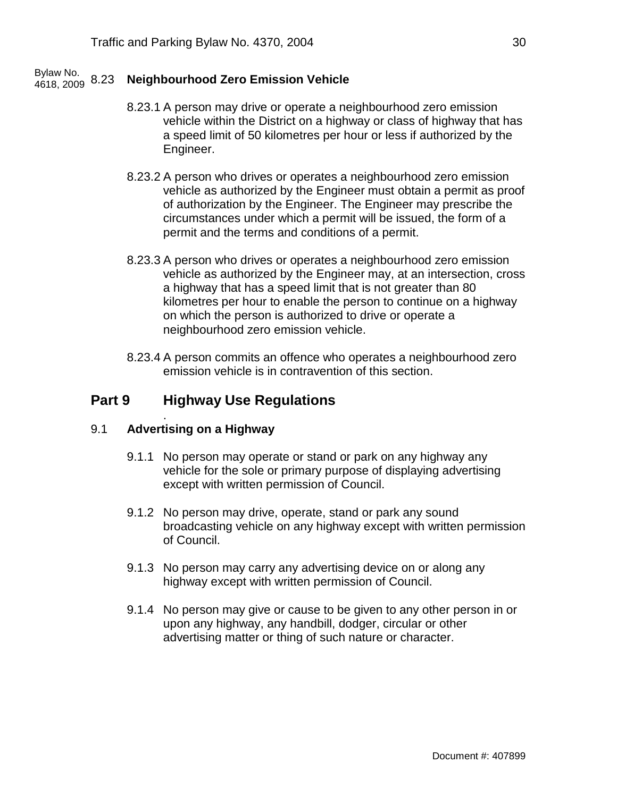#### 8.23 **Neighbourhood Zero Emission Vehicle** Bylaw No. 4618, 2009

- 8.23.1 A person may drive or operate a neighbourhood zero emission vehicle within the District on a highway or class of highway that has a speed limit of 50 kilometres per hour or less if authorized by the Engineer.
- 8.23.2 A person who drives or operates a neighbourhood zero emission vehicle as authorized by the Engineer must obtain a permit as proof of authorization by the Engineer. The Engineer may prescribe the circumstances under which a permit will be issued, the form of a permit and the terms and conditions of a permit.
- 8.23.3 A person who drives or operates a neighbourhood zero emission vehicle as authorized by the Engineer may, at an intersection, cross a highway that has a speed limit that is not greater than 80 kilometres per hour to enable the person to continue on a highway on which the person is authorized to drive or operate a neighbourhood zero emission vehicle.
- 8.23.4 A person commits an offence who operates a neighbourhood zero emission vehicle is in contravention of this section.

## **Part 9 Highway Use Regulations**

#### 9.1 **Advertising on a Highway**

.

- 9.1.1 No person may operate or stand or park on any highway any vehicle for the sole or primary purpose of displaying advertising except with written permission of Council.
- 9.1.2 No person may drive, operate, stand or park any sound broadcasting vehicle on any highway except with written permission of Council.
- 9.1.3 No person may carry any advertising device on or along any highway except with written permission of Council.
- 9.1.4 No person may give or cause to be given to any other person in or upon any highway, any handbill, dodger, circular or other advertising matter or thing of such nature or character.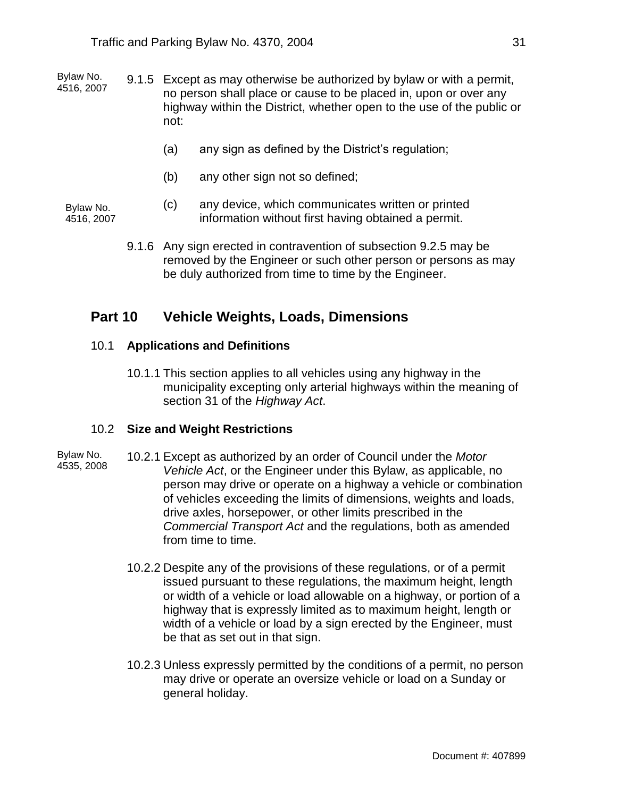- 9.1.5 Except as may otherwise be authorized by bylaw or with a permit, no person shall place or cause to be placed in, upon or over any highway within the District, whether open to the use of the public or not: Bylaw No. 4516, 2007
	- (a) any sign as defined by the District's regulation;
	- (b) any other sign not so defined;

Bylaw No. 4516, 2007

- (c) any device, which communicates written or printed information without first having obtained a permit.
- 9.1.6 Any sign erected in contravention of subsection 9.2.5 may be removed by the Engineer or such other person or persons as may be duly authorized from time to time by the Engineer.

## **Part 10 Vehicle Weights, Loads, Dimensions**

#### 10.1 **Applications and Definitions**

10.1.1 This section applies to all vehicles using any highway in the municipality excepting only arterial highways within the meaning of section 31 of the *Highway Act*.

#### 10.2 **Size and Weight Restrictions**

- 10.2.1 Except as authorized by an order of Council under the *Motor Vehicle Act*, or the Engineer under this Bylaw, as applicable, no person may drive or operate on a highway a vehicle or combination of vehicles exceeding the limits of dimensions, weights and loads, drive axles, horsepower, or other limits prescribed in the *Commercial Transport Act* and the regulations, both as amended from time to time. Bylaw No. 4535, 2008
	- 10.2.2 Despite any of the provisions of these regulations, or of a permit issued pursuant to these regulations, the maximum height, length or width of a vehicle or load allowable on a highway, or portion of a highway that is expressly limited as to maximum height, length or width of a vehicle or load by a sign erected by the Engineer, must be that as set out in that sign.
	- 10.2.3 Unless expressly permitted by the conditions of a permit, no person may drive or operate an oversize vehicle or load on a Sunday or general holiday.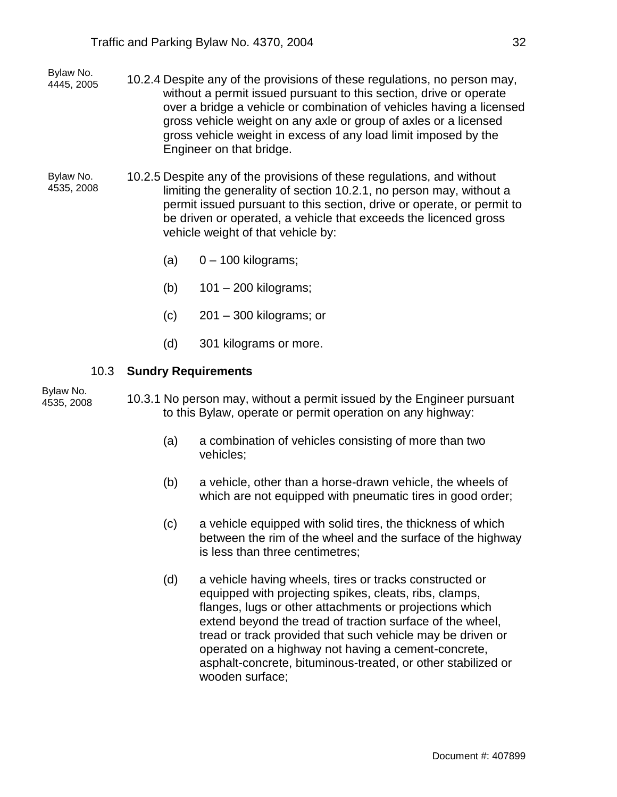- 10.2.4 Despite any of the provisions of these regulations, no person may, without a permit issued pursuant to this section, drive or operate over a bridge a vehicle or combination of vehicles having a licensed gross vehicle weight on any axle or group of axles or a licensed gross vehicle weight in excess of any load limit imposed by the Engineer on that bridge. Bylaw No. 4445, 2005
- 10.2.5 Despite any of the provisions of these regulations, and without limiting the generality of section 10.2.1, no person may, without a permit issued pursuant to this section, drive or operate, or permit to be driven or operated, a vehicle that exceeds the licenced gross vehicle weight of that vehicle by: Bylaw No. 4535, 2008
	- $(a)$  0 100 kilograms;
	- (b) 101 200 kilograms;
	- $(c)$  201 300 kilograms; or
	- (d) 301 kilograms or more.

#### 10.3 **Sundry Requirements**

Bylaw No. 4535, 2008

10.3.1 No person may, without a permit issued by the Engineer pursuant to this Bylaw, operate or permit operation on any highway:

- (a) a combination of vehicles consisting of more than two vehicles;
- (b) a vehicle, other than a horse-drawn vehicle, the wheels of which are not equipped with pneumatic tires in good order;
- (c) a vehicle equipped with solid tires, the thickness of which between the rim of the wheel and the surface of the highway is less than three centimetres;
- (d) a vehicle having wheels, tires or tracks constructed or equipped with projecting spikes, cleats, ribs, clamps, flanges, lugs or other attachments or projections which extend beyond the tread of traction surface of the wheel, tread or track provided that such vehicle may be driven or operated on a highway not having a cement-concrete, asphalt-concrete, bituminous-treated, or other stabilized or wooden surface;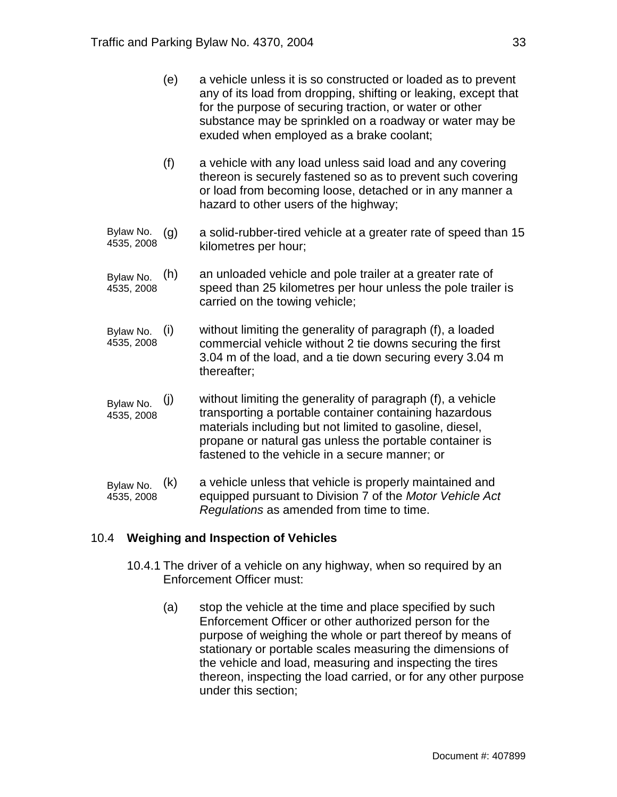- (e) a vehicle unless it is so constructed or loaded as to prevent any of its load from dropping, shifting or leaking, except that for the purpose of securing traction, or water or other substance may be sprinkled on a roadway or water may be exuded when employed as a brake coolant;
- (f) a vehicle with any load unless said load and any covering thereon is securely fastened so as to prevent such covering or load from becoming loose, detached or in any manner a hazard to other users of the highway;
- a solid-rubber-tired vehicle at a greater rate of speed than 15 kilometres per hour; Bylaw No. (g) 4535, 2008
- an unloaded vehicle and pole trailer at a greater rate of speed than 25 kilometres per hour unless the pole trailer is carried on the towing vehicle; Bylaw No. (h) 4535, 2008
- without limiting the generality of paragraph (f), a loaded commercial vehicle without 2 tie downs securing the first 3.04 m of the load, and a tie down securing every 3.04 m thereafter; Bylaw No. (i) 4535, 2008
- (j) without limiting the generality of paragraph (f), a vehicle transporting a portable container containing hazardous materials including but not limited to gasoline, diesel, propane or natural gas unless the portable container is fastened to the vehicle in a secure manner; or Bylaw No. 4535, 2008
- a vehicle unless that vehicle is properly maintained and equipped pursuant to Division 7 of the *Motor Vehicle Act Regulations* as amended from time to time. Bylaw No. (k) 4535, 2008

### 10.4 **Weighing and Inspection of Vehicles**

- 10.4.1 The driver of a vehicle on any highway, when so required by an Enforcement Officer must:
	- (a) stop the vehicle at the time and place specified by such Enforcement Officer or other authorized person for the purpose of weighing the whole or part thereof by means of stationary or portable scales measuring the dimensions of the vehicle and load, measuring and inspecting the tires thereon, inspecting the load carried, or for any other purpose under this section;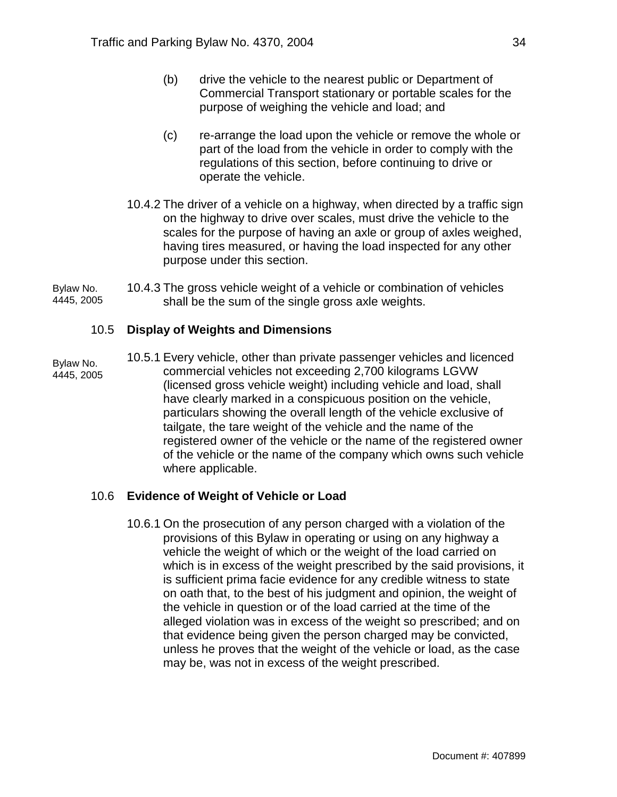- (b) drive the vehicle to the nearest public or Department of Commercial Transport stationary or portable scales for the purpose of weighing the vehicle and load; and
- (c) re-arrange the load upon the vehicle or remove the whole or part of the load from the vehicle in order to comply with the regulations of this section, before continuing to drive or operate the vehicle.
- 10.4.2 The driver of a vehicle on a highway, when directed by a traffic sign on the highway to drive over scales, must drive the vehicle to the scales for the purpose of having an axle or group of axles weighed, having tires measured, or having the load inspected for any other purpose under this section.
- 10.4.3 The gross vehicle weight of a vehicle or combination of vehicles shall be the sum of the single gross axle weights. Bylaw No. 4445, 2005

### 10.5 **Display of Weights and Dimensions**

10.5.1 Every vehicle, other than private passenger vehicles and licenced commercial vehicles not exceeding 2,700 kilograms LGVW (licensed gross vehicle weight) including vehicle and load, shall have clearly marked in a conspicuous position on the vehicle, particulars showing the overall length of the vehicle exclusive of tailgate, the tare weight of the vehicle and the name of the registered owner of the vehicle or the name of the registered owner of the vehicle or the name of the company which owns such vehicle where applicable. Bylaw No. 4445, 2005

### 10.6 **Evidence of Weight of Vehicle or Load**

10.6.1 On the prosecution of any person charged with a violation of the provisions of this Bylaw in operating or using on any highway a vehicle the weight of which or the weight of the load carried on which is in excess of the weight prescribed by the said provisions, it is sufficient prima facie evidence for any credible witness to state on oath that, to the best of his judgment and opinion, the weight of the vehicle in question or of the load carried at the time of the alleged violation was in excess of the weight so prescribed; and on that evidence being given the person charged may be convicted, unless he proves that the weight of the vehicle or load, as the case may be, was not in excess of the weight prescribed.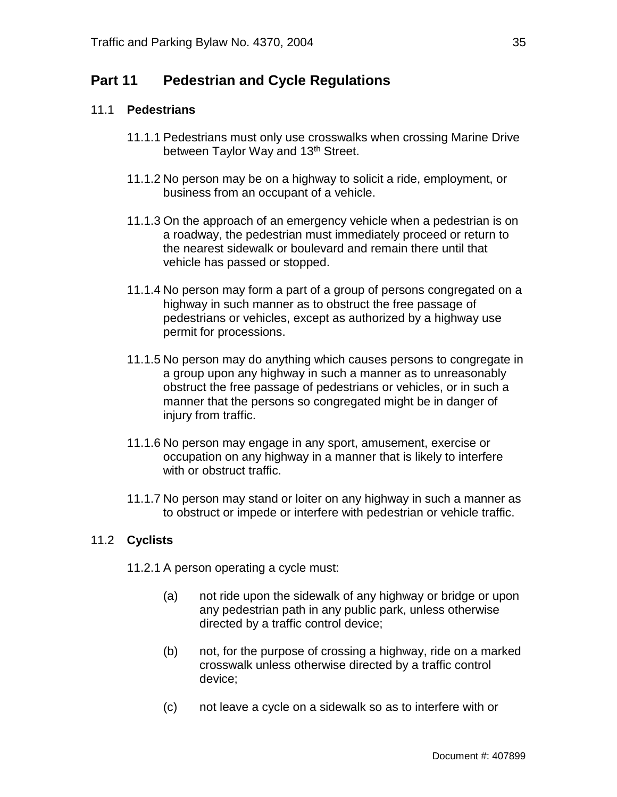# **Part 11 Pedestrian and Cycle Regulations**

#### 11.1 **Pedestrians**

- 11.1.1 Pedestrians must only use crosswalks when crossing Marine Drive between Taylor Way and 13<sup>th</sup> Street.
- 11.1.2 No person may be on a highway to solicit a ride, employment, or business from an occupant of a vehicle.
- 11.1.3 On the approach of an emergency vehicle when a pedestrian is on a roadway, the pedestrian must immediately proceed or return to the nearest sidewalk or boulevard and remain there until that vehicle has passed or stopped.
- 11.1.4 No person may form a part of a group of persons congregated on a highway in such manner as to obstruct the free passage of pedestrians or vehicles, except as authorized by a highway use permit for processions.
- 11.1.5 No person may do anything which causes persons to congregate in a group upon any highway in such a manner as to unreasonably obstruct the free passage of pedestrians or vehicles, or in such a manner that the persons so congregated might be in danger of injury from traffic.
- 11.1.6 No person may engage in any sport, amusement, exercise or occupation on any highway in a manner that is likely to interfere with or obstruct traffic.
- 11.1.7 No person may stand or loiter on any highway in such a manner as to obstruct or impede or interfere with pedestrian or vehicle traffic.

### 11.2 **Cyclists**

- 11.2.1 A person operating a cycle must:
	- (a) not ride upon the sidewalk of any highway or bridge or upon any pedestrian path in any public park, unless otherwise directed by a traffic control device;
	- (b) not, for the purpose of crossing a highway, ride on a marked crosswalk unless otherwise directed by a traffic control device;
	- (c) not leave a cycle on a sidewalk so as to interfere with or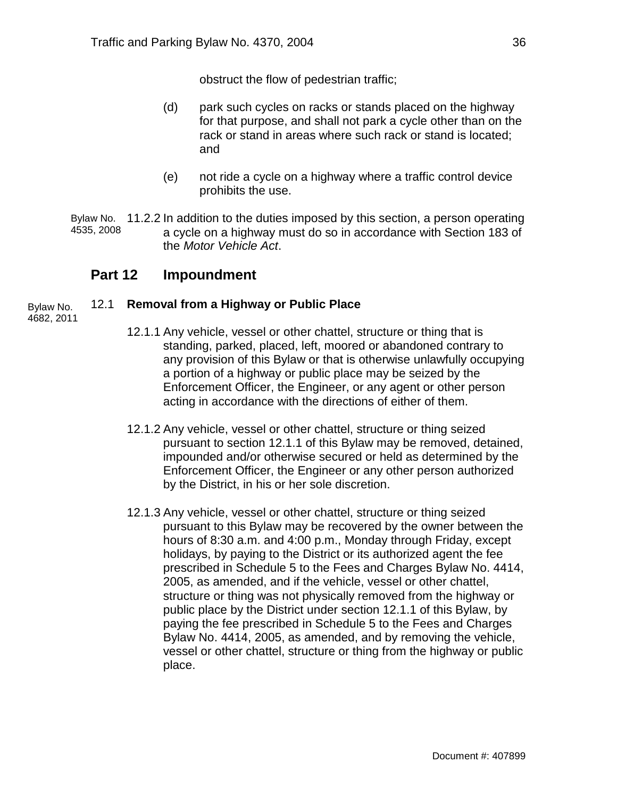obstruct the flow of pedestrian traffic;

- (d) park such cycles on racks or stands placed on the highway for that purpose, and shall not park a cycle other than on the rack or stand in areas where such rack or stand is located; and
- (e) not ride a cycle on a highway where a traffic control device prohibits the use.

Bylaw No. 11.2.2 In addition to the duties imposed by this section, a person operating a cycle on a highway must do so in accordance with Section 183 of the *Motor Vehicle Act*. 4535, 2008

## **Part 12 Impoundment**

#### 12.1 **Removal from a Highway or Public Place** Bylaw No.

4682, 2011

- 12.1.1 Any vehicle, vessel or other chattel, structure or thing that is standing, parked, placed, left, moored or abandoned contrary to any provision of this Bylaw or that is otherwise unlawfully occupying a portion of a highway or public place may be seized by the Enforcement Officer, the Engineer, or any agent or other person acting in accordance with the directions of either of them.
- 12.1.2 Any vehicle, vessel or other chattel, structure or thing seized pursuant to section 12.1.1 of this Bylaw may be removed, detained, impounded and/or otherwise secured or held as determined by the Enforcement Officer, the Engineer or any other person authorized by the District, in his or her sole discretion.
- 12.1.3 Any vehicle, vessel or other chattel, structure or thing seized pursuant to this Bylaw may be recovered by the owner between the hours of 8:30 a.m. and 4:00 p.m., Monday through Friday, except holidays, by paying to the District or its authorized agent the fee prescribed in Schedule 5 to the Fees and Charges Bylaw No. 4414, 2005, as amended, and if the vehicle, vessel or other chattel, structure or thing was not physically removed from the highway or public place by the District under section 12.1.1 of this Bylaw, by paying the fee prescribed in Schedule 5 to the Fees and Charges Bylaw No. 4414, 2005, as amended, and by removing the vehicle, vessel or other chattel, structure or thing from the highway or public place.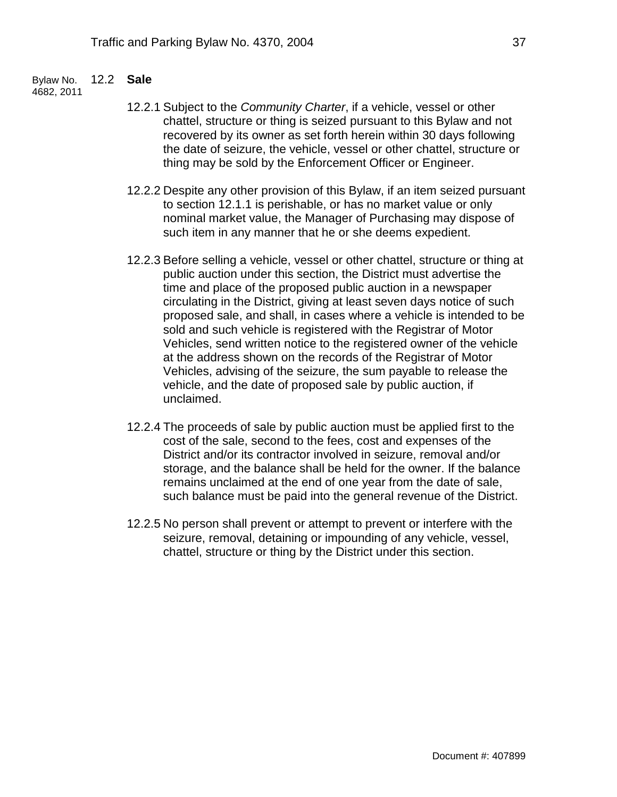#### 12.2 **Sale** Bylaw No.

4682, 2011

- 12.2.1 Subject to the *Community Charter*, if a vehicle, vessel or other chattel, structure or thing is seized pursuant to this Bylaw and not recovered by its owner as set forth herein within 30 days following the date of seizure, the vehicle, vessel or other chattel, structure or thing may be sold by the Enforcement Officer or Engineer.
- 12.2.2 Despite any other provision of this Bylaw, if an item seized pursuant to section 12.1.1 is perishable, or has no market value or only nominal market value, the Manager of Purchasing may dispose of such item in any manner that he or she deems expedient.
- 12.2.3 Before selling a vehicle, vessel or other chattel, structure or thing at public auction under this section, the District must advertise the time and place of the proposed public auction in a newspaper circulating in the District, giving at least seven days notice of such proposed sale, and shall, in cases where a vehicle is intended to be sold and such vehicle is registered with the Registrar of Motor Vehicles, send written notice to the registered owner of the vehicle at the address shown on the records of the Registrar of Motor Vehicles, advising of the seizure, the sum payable to release the vehicle, and the date of proposed sale by public auction, if unclaimed.
- 12.2.4 The proceeds of sale by public auction must be applied first to the cost of the sale, second to the fees, cost and expenses of the District and/or its contractor involved in seizure, removal and/or storage, and the balance shall be held for the owner. If the balance remains unclaimed at the end of one year from the date of sale, such balance must be paid into the general revenue of the District.
- 12.2.5 No person shall prevent or attempt to prevent or interfere with the seizure, removal, detaining or impounding of any vehicle, vessel, chattel, structure or thing by the District under this section.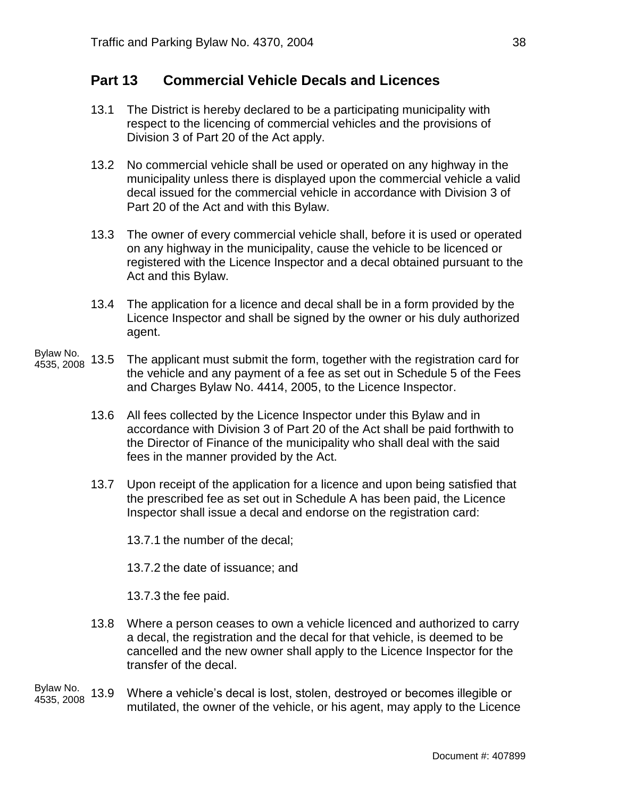## **Part 13 Commercial Vehicle Decals and Licences**

- 13.1 The District is hereby declared to be a participating municipality with respect to the licencing of commercial vehicles and the provisions of Division 3 of Part 20 of the Act apply.
- 13.2 No commercial vehicle shall be used or operated on any highway in the municipality unless there is displayed upon the commercial vehicle a valid decal issued for the commercial vehicle in accordance with Division 3 of Part 20 of the Act and with this Bylaw.
- 13.3 The owner of every commercial vehicle shall, before it is used or operated on any highway in the municipality, cause the vehicle to be licenced or registered with the Licence Inspector and a decal obtained pursuant to the Act and this Bylaw.
- 13.4 The application for a licence and decal shall be in a form provided by the Licence Inspector and shall be signed by the owner or his duly authorized agent.
- 13.5 The applicant must submit the form, together with the registration card for the vehicle and any payment of a fee as set out in Schedule 5 of the Fees and Charges Bylaw No. 4414, 2005, to the Licence Inspector. Bylaw No. 4535, 2008
	- 13.6 All fees collected by the Licence Inspector under this Bylaw and in accordance with Division 3 of Part 20 of the Act shall be paid forthwith to the Director of Finance of the municipality who shall deal with the said fees in the manner provided by the Act.
	- 13.7 Upon receipt of the application for a licence and upon being satisfied that the prescribed fee as set out in Schedule A has been paid, the Licence Inspector shall issue a decal and endorse on the registration card:

13.7.1 the number of the decal;

13.7.2 the date of issuance; and

13.7.3 the fee paid.

- 13.8 Where a person ceases to own a vehicle licenced and authorized to carry a decal, the registration and the decal for that vehicle, is deemed to be cancelled and the new owner shall apply to the Licence Inspector for the transfer of the decal.
- 13.9 Where a vehicle's decal is lost, stolen, destroyed or becomes illegible or mutilated, the owner of the vehicle, or his agent, may apply to the Licence Bylaw No. 4535, 2008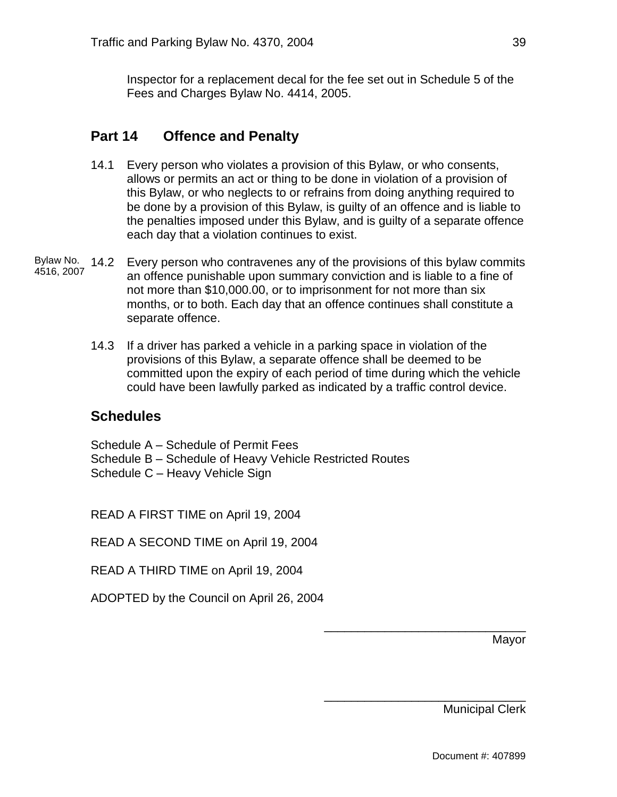Inspector for a replacement decal for the fee set out in Schedule 5 of the Fees and Charges Bylaw No. 4414, 2005.

# **Part 14 Offence and Penalty**

- 14.1 Every person who violates a provision of this Bylaw, or who consents, allows or permits an act or thing to be done in violation of a provision of this Bylaw, or who neglects to or refrains from doing anything required to be done by a provision of this Bylaw, is guilty of an offence and is liable to the penalties imposed under this Bylaw, and is guilty of a separate offence each day that a violation continues to exist.
- Bylaw No. 14.2 Every person who contravenes any of the provisions of this bylaw commits an offence punishable upon summary conviction and is liable to a fine of not more than \$10,000.00, or to imprisonment for not more than six months, or to both. Each day that an offence continues shall constitute a separate offence. 4516, 2007
	- 14.3 If a driver has parked a vehicle in a parking space in violation of the provisions of this Bylaw, a separate offence shall be deemed to be committed upon the expiry of each period of time during which the vehicle could have been lawfully parked as indicated by a traffic control device.

## **Schedules**

Schedule A – Schedule of Permit Fees Schedule B – Schedule of Heavy Vehicle Restricted Routes Schedule C – Heavy Vehicle Sign

READ A FIRST TIME on April 19, 2004

READ A SECOND TIME on April 19, 2004

READ A THIRD TIME on April 19, 2004

ADOPTED by the Council on April 26, 2004

Mayor

Municipal Clerk

\_\_\_\_\_\_\_\_\_\_\_\_\_\_\_\_\_\_\_\_\_\_\_\_\_\_\_\_\_\_

\_\_\_\_\_\_\_\_\_\_\_\_\_\_\_\_\_\_\_\_\_\_\_\_\_\_\_\_\_\_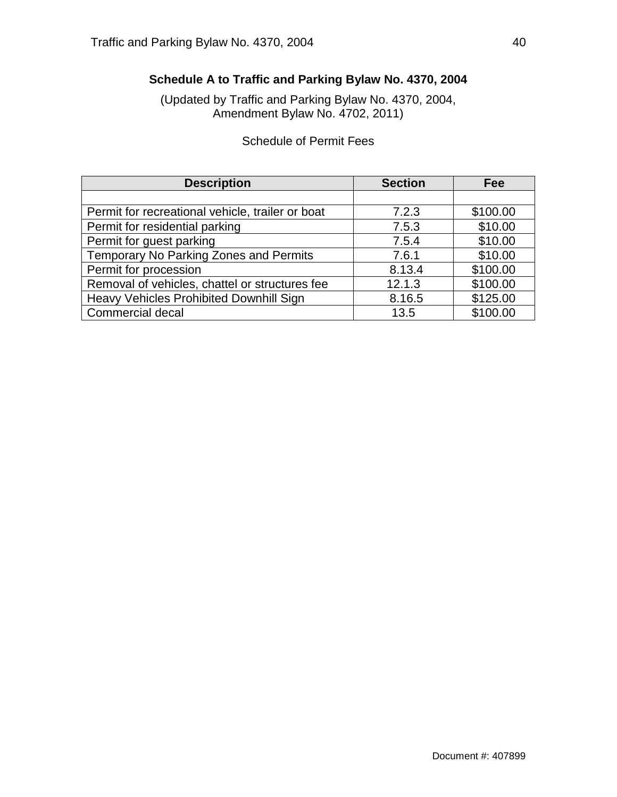# **Schedule A to Traffic and Parking Bylaw No. 4370, 2004**

(Updated by Traffic and Parking Bylaw No. 4370, 2004, Amendment Bylaw No. 4702, 2011)

# Schedule of Permit Fees

| <b>Description</b>                               | <b>Section</b> | Fee      |
|--------------------------------------------------|----------------|----------|
|                                                  |                |          |
| Permit for recreational vehicle, trailer or boat | 7.2.3          | \$100.00 |
| Permit for residential parking                   | 7.5.3          | \$10.00  |
| Permit for guest parking                         | 7.5.4          | \$10.00  |
| Temporary No Parking Zones and Permits           | 7.6.1          | \$10.00  |
| Permit for procession                            | 8.13.4         | \$100.00 |
| Removal of vehicles, chattel or structures fee   | 12.1.3         | \$100.00 |
| <b>Heavy Vehicles Prohibited Downhill Sign</b>   | 8.16.5         | \$125.00 |
| <b>Commercial decal</b>                          | 13.5           | \$100.00 |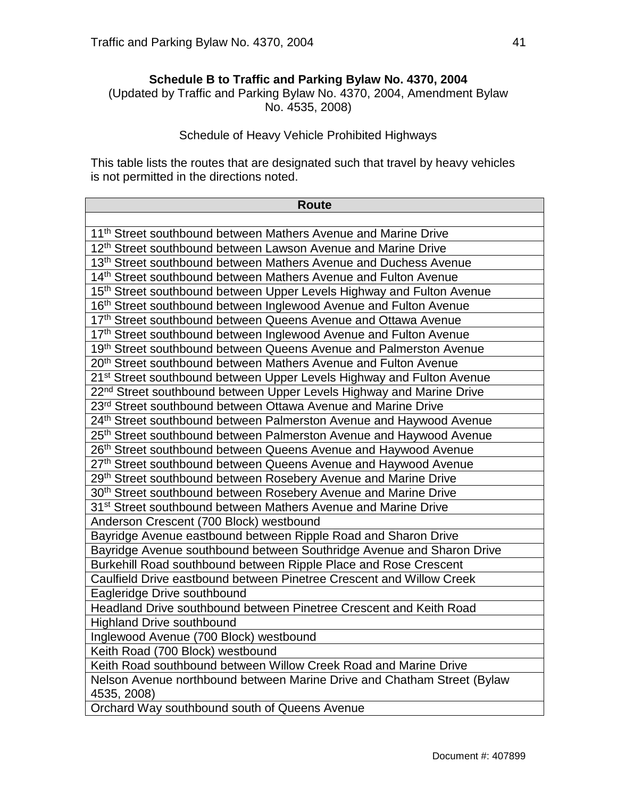### **Schedule B to Traffic and Parking Bylaw No. 4370, 2004**

(Updated by Traffic and Parking Bylaw No. 4370, 2004, Amendment Bylaw No. 4535, 2008)

### Schedule of Heavy Vehicle Prohibited Highways

This table lists the routes that are designated such that travel by heavy vehicles is not permitted in the directions noted.

| <b>Route</b>                                                                      |
|-----------------------------------------------------------------------------------|
|                                                                                   |
| 11 <sup>th</sup> Street southbound between Mathers Avenue and Marine Drive        |
| 12 <sup>th</sup> Street southbound between Lawson Avenue and Marine Drive         |
| 13 <sup>th</sup> Street southbound between Mathers Avenue and Duchess Avenue      |
| 14th Street southbound between Mathers Avenue and Fulton Avenue                   |
| 15th Street southbound between Upper Levels Highway and Fulton Avenue             |
| 16th Street southbound between Inglewood Avenue and Fulton Avenue                 |
| 17th Street southbound between Queens Avenue and Ottawa Avenue                    |
| 17th Street southbound between Inglewood Avenue and Fulton Avenue                 |
| 19th Street southbound between Queens Avenue and Palmerston Avenue                |
| 20 <sup>th</sup> Street southbound between Mathers Avenue and Fulton Avenue       |
| 21 <sup>st</sup> Street southbound between Upper Levels Highway and Fulton Avenue |
| 22 <sup>nd</sup> Street southbound between Upper Levels Highway and Marine Drive  |
| 23 <sup>rd</sup> Street southbound between Ottawa Avenue and Marine Drive         |
| 24 <sup>th</sup> Street southbound between Palmerston Avenue and Haywood Avenue   |
| 25 <sup>th</sup> Street southbound between Palmerston Avenue and Haywood Avenue   |
| 26th Street southbound between Queens Avenue and Haywood Avenue                   |
| 27th Street southbound between Queens Avenue and Haywood Avenue                   |
| 29th Street southbound between Rosebery Avenue and Marine Drive                   |
| 30 <sup>th</sup> Street southbound between Rosebery Avenue and Marine Drive       |
| 31 <sup>st</sup> Street southbound between Mathers Avenue and Marine Drive        |
| Anderson Crescent (700 Block) westbound                                           |
| Bayridge Avenue eastbound between Ripple Road and Sharon Drive                    |
| Bayridge Avenue southbound between Southridge Avenue and Sharon Drive             |
| Burkehill Road southbound between Ripple Place and Rose Crescent                  |
| Caulfield Drive eastbound between Pinetree Crescent and Willow Creek              |
| Eagleridge Drive southbound                                                       |
| Headland Drive southbound between Pinetree Crescent and Keith Road                |
| <b>Highland Drive southbound</b>                                                  |
| Inglewood Avenue (700 Block) westbound                                            |
| Keith Road (700 Block) westbound                                                  |
| Keith Road southbound between Willow Creek Road and Marine Drive                  |
| Nelson Avenue northbound between Marine Drive and Chatham Street (Bylaw           |
| 4535, 2008)                                                                       |
| Orchard Way southbound south of Queens Avenue                                     |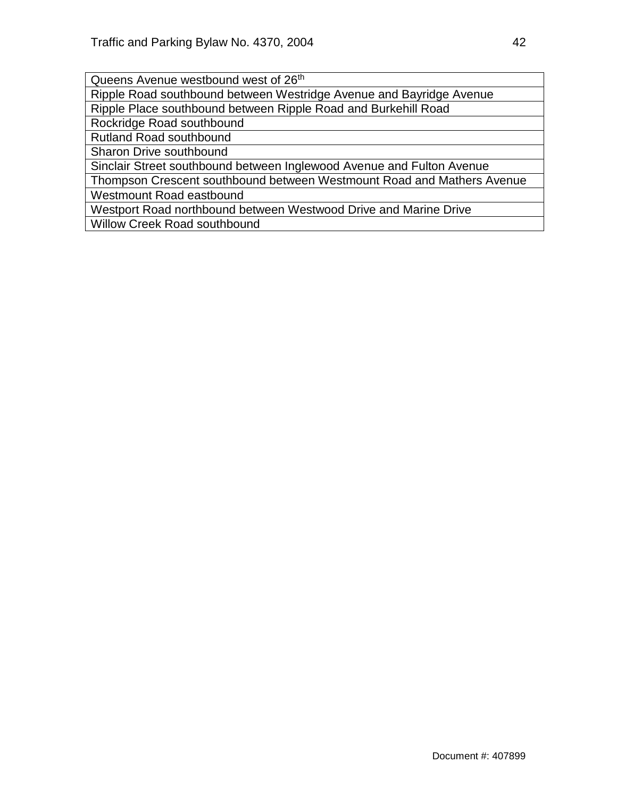Queens Avenue westbound west of 26<sup>th</sup>

Ripple Road southbound between Westridge Avenue and Bayridge Avenue

Ripple Place southbound between Ripple Road and Burkehill Road

Rockridge Road southbound

Rutland Road southbound

Sharon Drive southbound

Sinclair Street southbound between Inglewood Avenue and Fulton Avenue

Thompson Crescent southbound between Westmount Road and Mathers Avenue Westmount Road eastbound

Westport Road northbound between Westwood Drive and Marine Drive

Willow Creek Road southbound